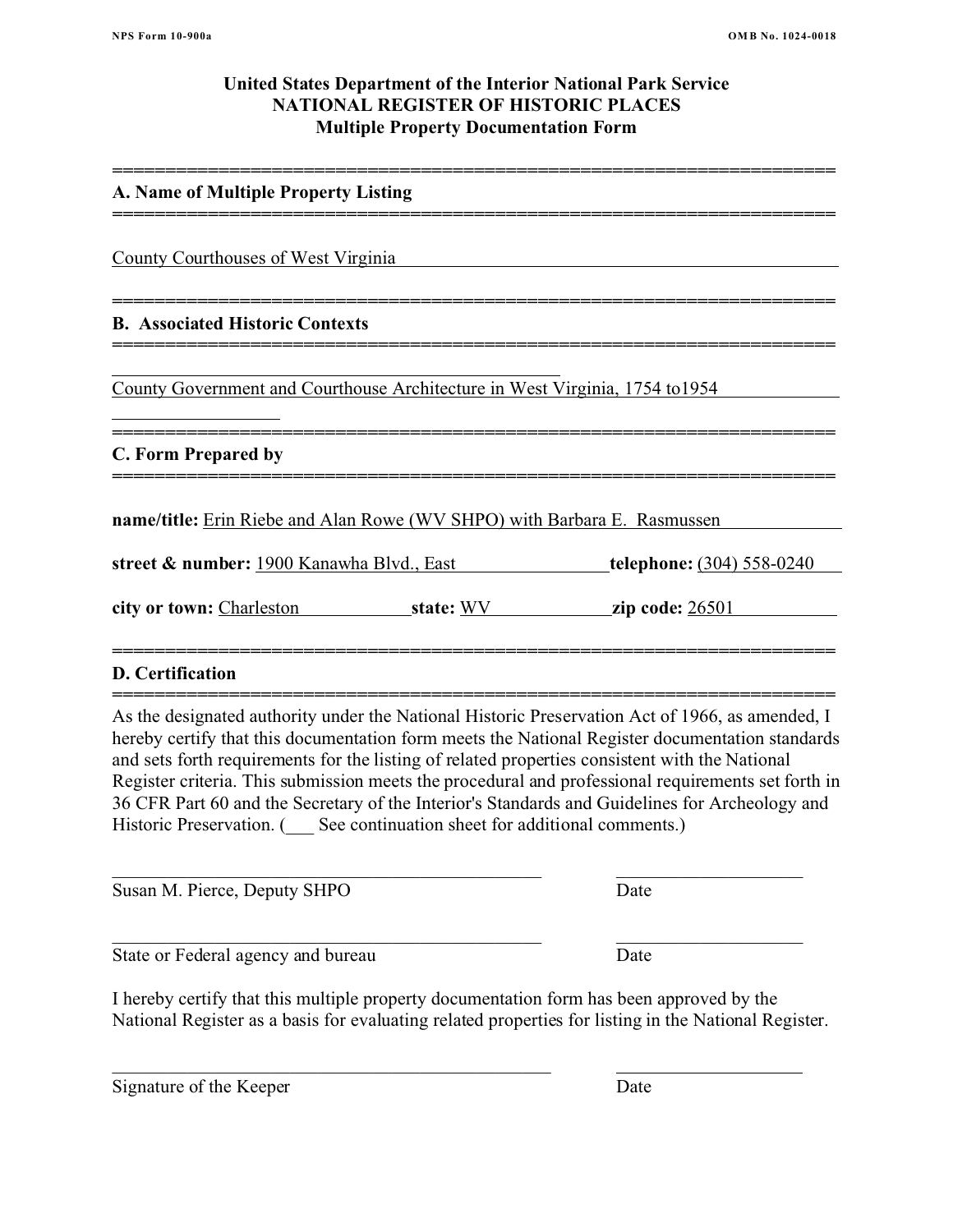# **United States Department of the Interior National Park Service NATIONAL REGISTER OF HISTORIC PLACES Multiple Property Documentation Form**

**====================================================================**

**====================================================================**

**====================================================================**

**====================================================================**

**====================================================================**

## **A. Name of Multiple Property Listing**

County Courthouses of West Virginia

# **B. Associated Historic Contexts**

County Government and Courthouse Architecture in West Virginia, 1754 to1954

### **==================================================================== C. Form Prepared by**

**name/title:** Erin Riebe and Alan Rowe (WV SHPO) with Barbara E. Rasmussen

**street & number:** 1900 Kanawha Blvd., East **telephone:** (304) 558-0240

**city or town:** Charleston **state:** WV **zip code:** 26501

## **D. Certification**

**====================================================================** As the designated authority under the National Historic Preservation Act of 1966, as amended, I hereby certify that this documentation form meets the National Register documentation standards and sets forth requirements for the listing of related properties consistent with the National Register criteria. This submission meets the procedural and professional requirements set forth in 36 CFR Part 60 and the Secretary of the Interior's Standards and Guidelines for Archeology and Historic Preservation. ( \_\_\_ See continuation sheet for additional comments.)

**====================================================================**

Susan M. Pierce, Deputy SHPO Date

State or Federal agency and bureau Date

\_\_\_\_\_\_\_\_\_\_\_\_\_\_\_\_\_\_\_\_\_\_\_\_\_\_\_\_\_\_\_\_\_\_\_\_\_\_\_\_\_\_\_\_\_\_\_

I hereby certify that this multiple property documentation form has been approved by the National Register as a basis for evaluating related properties for listing in the National Register.

 $\_$  ,  $\_$  ,  $\_$  ,  $\_$  ,  $\_$  ,  $\_$  ,  $\_$  ,  $\_$  ,  $\_$  ,  $\_$  ,  $\_$  ,  $\_$  ,  $\_$  ,  $\_$  ,  $\_$  ,  $\_$  ,  $\_$  ,  $\_$  ,  $\_$  ,  $\_$  ,  $\_$  ,  $\_$  ,  $\_$  ,  $\_$  ,  $\_$  ,  $\_$  ,  $\_$  ,  $\_$  ,  $\_$  ,  $\_$  ,  $\_$  ,  $\_$  ,  $\_$  ,  $\_$  ,  $\_$  ,  $\_$  ,  $\_$  ,

\_\_\_\_\_\_\_\_\_\_\_\_\_\_\_\_\_\_\_\_\_\_\_\_\_\_\_\_\_\_\_\_\_\_\_\_\_\_\_\_\_\_\_\_\_\_ \_\_\_\_\_\_\_\_\_\_\_\_\_\_\_\_\_\_\_\_

Signature of the Keeper Date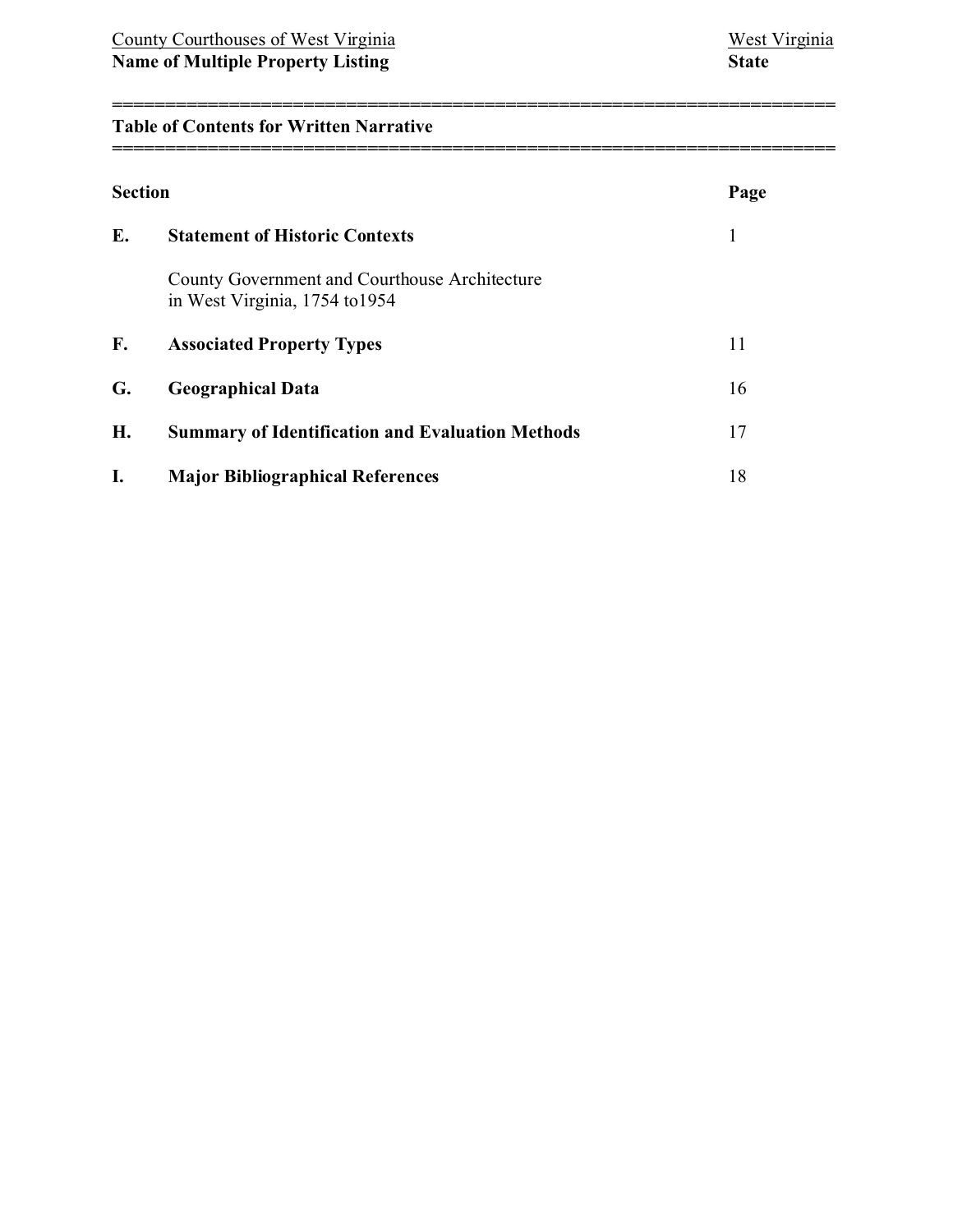# **Table of Contents for Written Narrative**

| <b>Section</b> |                                                                                 | Page |
|----------------|---------------------------------------------------------------------------------|------|
| E.             | <b>Statement of Historic Contexts</b>                                           | 1    |
|                | County Government and Courthouse Architecture<br>in West Virginia, 1754 to 1954 |      |
| F.             | <b>Associated Property Types</b>                                                | 11   |
| G.             | <b>Geographical Data</b>                                                        | 16   |
| H.             | <b>Summary of Identification and Evaluation Methods</b>                         | 17   |
| I.             | <b>Major Bibliographical References</b>                                         | 18   |

**====================================================================**

**====================================================================**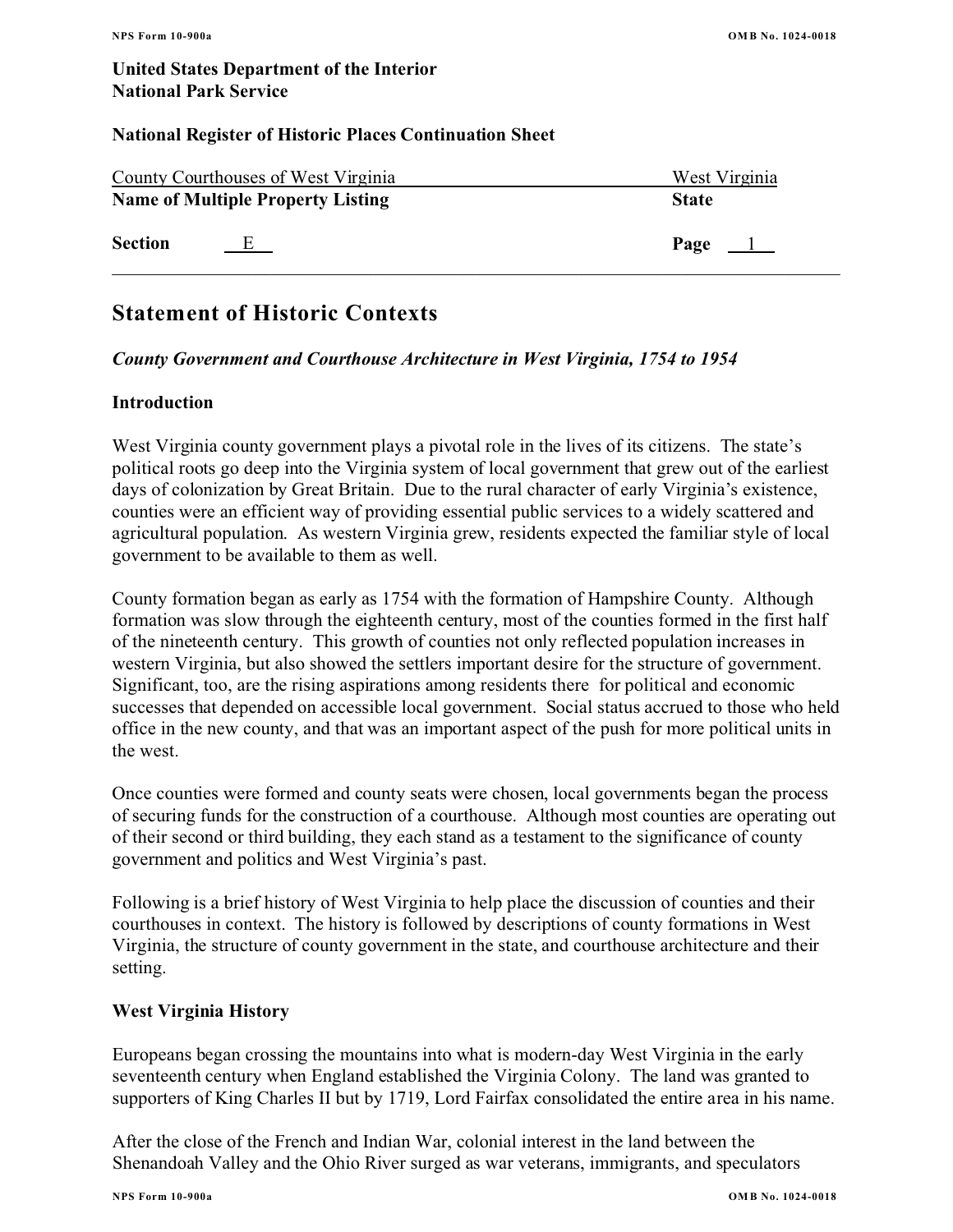## **National Register of Historic Places Continuation Sheet**

|                | County Courthouses of West Virginia      | West Virginia |
|----------------|------------------------------------------|---------------|
|                | <b>Name of Multiple Property Listing</b> | <b>State</b>  |
| <b>Section</b> | E                                        | Page $\perp$  |

# **Statement of Historic Contexts**

# *County Government and Courthouse Architecture in West Virginia, 1754 to 1954*

# **Introduction**

West Virginia county government plays a pivotal role in the lives of its citizens. The state's political roots go deep into the Virginia system of local government that grew out of the earliest days of colonization by Great Britain. Due to the rural character of early Virginia's existence, counties were an efficient way of providing essential public services to a widely scattered and agricultural population. As western Virginia grew, residents expected the familiar style of local government to be available to them as well.

County formation began as early as 1754 with the formation of Hampshire County. Although formation was slow through the eighteenth century, most of the counties formed in the first half of the nineteenth century. This growth of counties not only reflected population increases in western Virginia, but also showed the settlers important desire for the structure of government. Significant, too, are the rising aspirations among residents there for political and economic successes that depended on accessible local government. Social status accrued to those who held office in the new county, and that was an important aspect of the push for more political units in the west.

Once counties were formed and county seats were chosen, local governments began the process of securing funds for the construction of a courthouse. Although most counties are operating out of their second or third building, they each stand as a testament to the significance of county government and politics and West Virginia's past.

Following is a brief history of West Virginia to help place the discussion of counties and their courthouses in context. The history is followed by descriptions of county formations in West Virginia, the structure of county government in the state, and courthouse architecture and their setting.

# **West Virginia History**

Europeans began crossing the mountains into what is modern-day West Virginia in the early seventeenth century when England established the Virginia Colony. The land was granted to supporters of King Charles II but by 1719, Lord Fairfax consolidated the entire area in his name.

After the close of the French and Indian War, colonial interest in the land between the Shenandoah Valley and the Ohio River surged as war veterans, immigrants, and speculators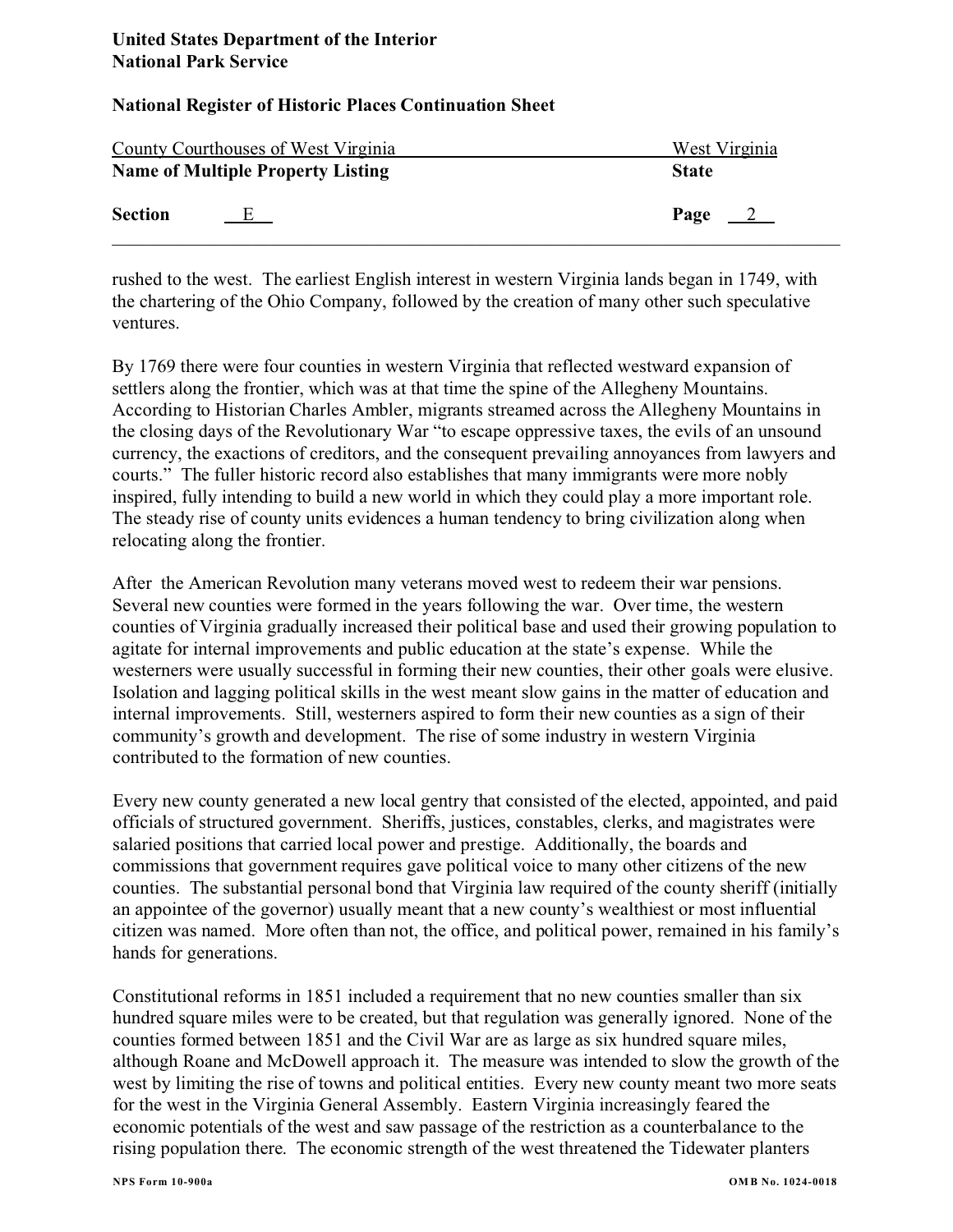|                | County Courthouses of West Virginia      | West Virginia         |
|----------------|------------------------------------------|-----------------------|
|                | <b>Name of Multiple Property Listing</b> | <b>State</b>          |
| <b>Section</b> | E                                        | Page<br>$\frac{2}{2}$ |

rushed to the west. The earliest English interest in western Virginia lands began in 1749, with the chartering of the Ohio Company, followed by the creation of many other such speculative ventures.

By 1769 there were four counties in western Virginia that reflected westward expansion of settlers along the frontier, which was at that time the spine of the Allegheny Mountains. According to Historian Charles Ambler, migrants streamed across the Allegheny Mountains in the closing days of the Revolutionary War "to escape oppressive taxes, the evils of an unsound currency, the exactions of creditors, and the consequent prevailing annoyances from lawyers and courts." The fuller historic record also establishes that many immigrants were more nobly inspired, fully intending to build a new world in which they could play a more important role. The steady rise of county units evidences a human tendency to bring civilization along when relocating along the frontier.

After the American Revolution many veterans moved west to redeem their war pensions. Several new counties were formed in the years following the war. Over time, the western counties of Virginia gradually increased their political base and used their growing population to agitate for internal improvements and public education at the state's expense. While the westerners were usually successful in forming their new counties, their other goals were elusive. Isolation and lagging political skills in the west meant slow gains in the matter of education and internal improvements. Still, westerners aspired to form their new counties as a sign of their community's growth and development. The rise of some industry in western Virginia contributed to the formation of new counties.

Every new county generated a new local gentry that consisted of the elected, appointed, and paid officials of structured government. Sheriffs, justices, constables, clerks, and magistrates were salaried positions that carried local power and prestige. Additionally, the boards and commissions that government requires gave political voice to many other citizens of the new counties. The substantial personal bond that Virginia law required of the county sheriff (initially an appointee of the governor) usually meant that a new county's wealthiest or most influential citizen was named. More often than not, the office, and political power, remained in his family's hands for generations.

Constitutional reforms in 1851 included a requirement that no new counties smaller than six hundred square miles were to be created, but that regulation was generally ignored. None of the counties formed between 1851 and the Civil War are as large as six hundred square miles, although Roane and McDowell approach it. The measure was intended to slow the growth of the west by limiting the rise of towns and political entities. Every new county meant two more seats for the west in the Virginia General Assembly. Eastern Virginia increasingly feared the economic potentials of the west and saw passage of the restriction as a counterbalance to the rising population there. The economic strength of the west threatened the Tidewater planters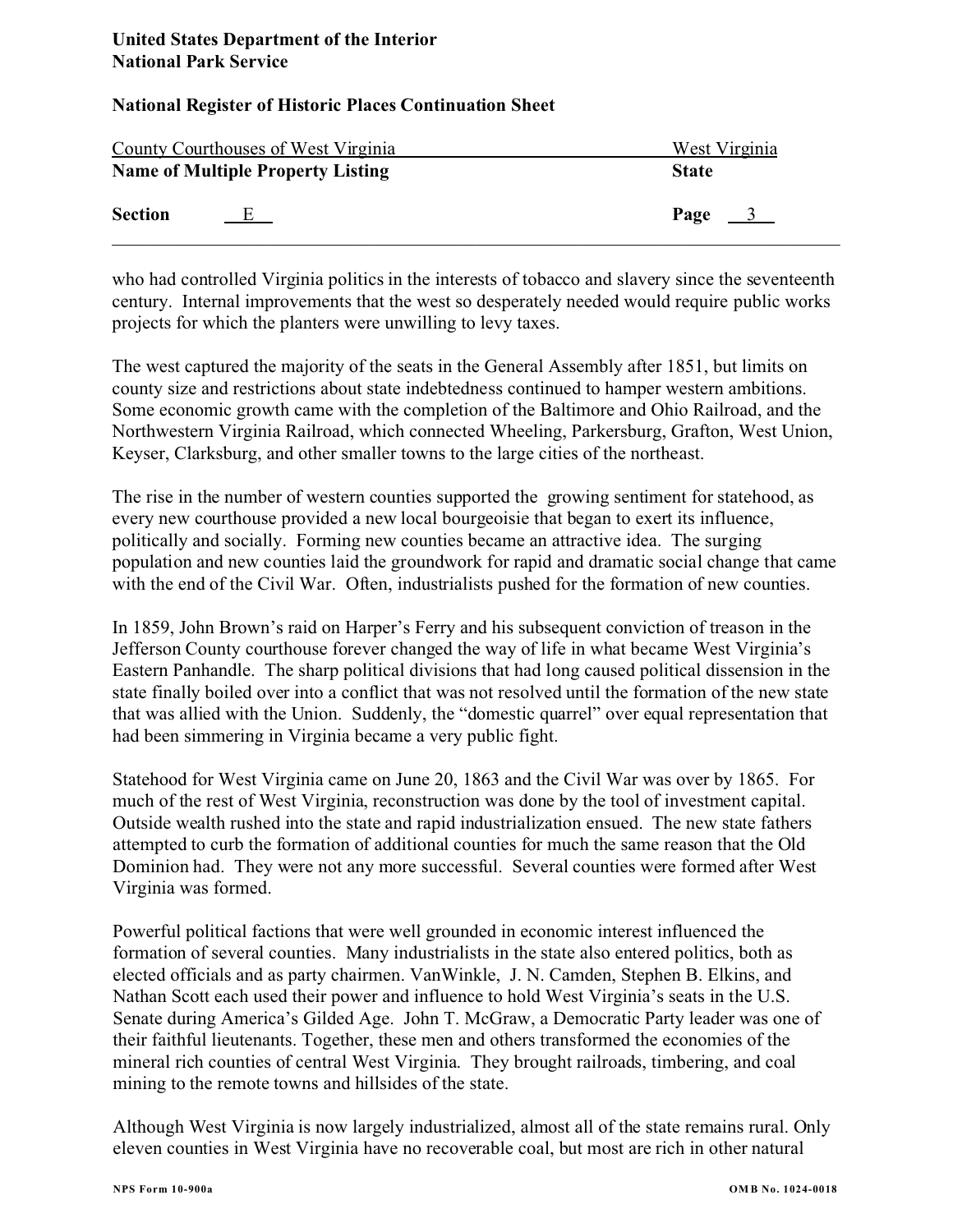|                | County Courthouses of West Virginia      | West Virginia         |
|----------------|------------------------------------------|-----------------------|
|                | <b>Name of Multiple Property Listing</b> | <b>State</b>          |
| <b>Section</b> | E                                        | Page<br>$\frac{3}{2}$ |

who had controlled Virginia politics in the interests of tobacco and slavery since the seventeenth century. Internal improvements that the west so desperately needed would require public works projects for which the planters were unwilling to levy taxes.

The west captured the majority of the seats in the General Assembly after 1851, but limits on county size and restrictions about state indebtedness continued to hamper western ambitions. Some economic growth came with the completion of the Baltimore and Ohio Railroad, and the Northwestern Virginia Railroad, which connected Wheeling, Parkersburg, Grafton, West Union, Keyser, Clarksburg, and other smaller towns to the large cities of the northeast.

The rise in the number of western counties supported the growing sentiment for statehood, as every new courthouse provided a new local bourgeoisie that began to exert its influence, politically and socially. Forming new counties became an attractive idea. The surging population and new counties laid the groundwork for rapid and dramatic social change that came with the end of the Civil War. Often, industrialists pushed for the formation of new counties.

In 1859, John Brown's raid on Harper's Ferry and his subsequent conviction of treason in the Jefferson County courthouse forever changed the way of life in what became West Virginia's Eastern Panhandle. The sharp political divisions that had long caused political dissension in the state finally boiled over into a conflict that was not resolved until the formation of the new state that was allied with the Union. Suddenly, the "domestic quarrel" over equal representation that had been simmering in Virginia became a very public fight.

Statehood for West Virginia came on June 20, 1863 and the Civil War was over by 1865. For much of the rest of West Virginia, reconstruction was done by the tool of investment capital. Outside wealth rushed into the state and rapid industrialization ensued. The new state fathers attempted to curb the formation of additional counties for much the same reason that the Old Dominion had. They were not any more successful. Several counties were formed after West Virginia was formed.

Powerful political factions that were well grounded in economic interest influenced the formation of several counties. Many industrialists in the state also entered politics, both as elected officials and as party chairmen. VanWinkle, J. N. Camden, Stephen B. Elkins, and Nathan Scott each used their power and influence to hold West Virginia's seats in the U.S. Senate during America's Gilded Age. John T. McGraw, a Democratic Party leader was one of their faithful lieutenants. Together, these men and others transformed the economies of the mineral rich counties of central West Virginia. They brought railroads, timbering, and coal mining to the remote towns and hillsides of the state.

Although West Virginia is now largely industrialized, almost all of the state remains rural. Only eleven counties in West Virginia have no recoverable coal, but most are rich in other natural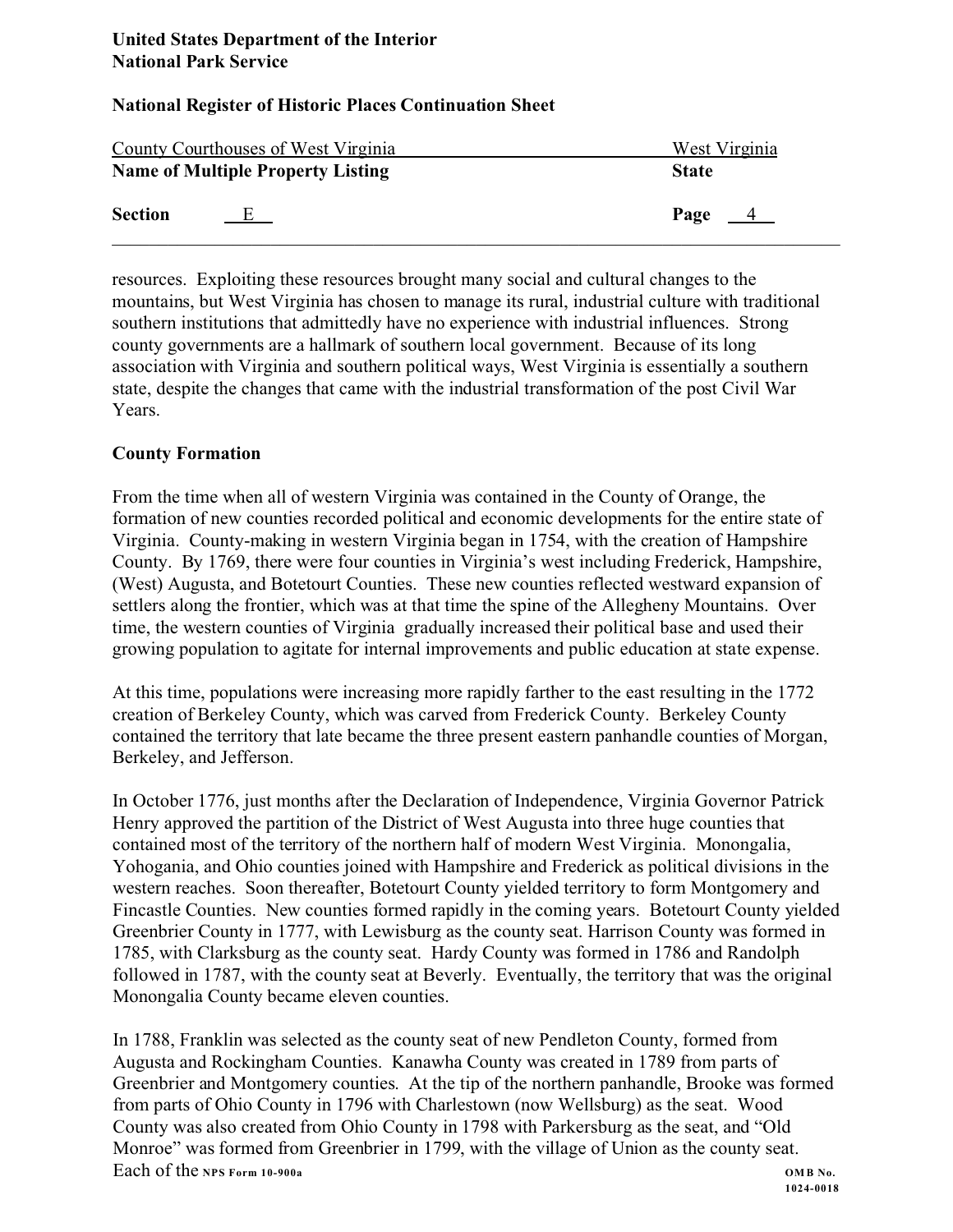| County Courthouses of West Virginia |                                          | West Virginia |  |
|-------------------------------------|------------------------------------------|---------------|--|
|                                     | <b>Name of Multiple Property Listing</b> | <b>State</b>  |  |
| <b>Section</b>                      | 上                                        | Page $4$      |  |

resources. Exploiting these resources brought many social and cultural changes to the mountains, but West Virginia has chosen to manage its rural, industrial culture with traditional southern institutions that admittedly have no experience with industrial influences. Strong county governments are a hallmark of southern local government. Because of its long association with Virginia and southern political ways, West Virginia is essentially a southern state, despite the changes that came with the industrial transformation of the post Civil War Years.

# **County Formation**

From the time when all of western Virginia was contained in the County of Orange, the formation of new counties recorded political and economic developments for the entire state of Virginia. County-making in western Virginia began in 1754, with the creation of Hampshire County. By 1769, there were four counties in Virginia's west including Frederick, Hampshire, (West) Augusta, and Botetourt Counties. These new counties reflected westward expansion of settlers along the frontier, which was at that time the spine of the Allegheny Mountains. Over time, the western counties of Virginia gradually increased their political base and used their growing population to agitate for internal improvements and public education at state expense.

At this time, populations were increasing more rapidly farther to the east resulting in the 1772 creation of Berkeley County, which was carved from Frederick County. Berkeley County contained the territory that late became the three present eastern panhandle counties of Morgan, Berkeley, and Jefferson.

In October 1776, just months after the Declaration of Independence, Virginia Governor Patrick Henry approved the partition of the District of West Augusta into three huge counties that contained most of the territory of the northern half of modern West Virginia. Monongalia, Yohogania, and Ohio counties joined with Hampshire and Frederick as political divisions in the western reaches. Soon thereafter, Botetourt County yielded territory to form Montgomery and Fincastle Counties. New counties formed rapidly in the coming years. Botetourt County yielded Greenbrier County in 1777, with Lewisburg as the county seat. Harrison County was formed in 1785, with Clarksburg as the county seat. Hardy County was formed in 1786 and Randolph followed in 1787, with the county seat at Beverly. Eventually, the territory that was the original Monongalia County became eleven counties.

In 1788, Franklin was selected as the county seat of new Pendleton County, formed from Augusta and Rockingham Counties. Kanawha County was created in 1789 from parts of Greenbrier and Montgomery counties. At the tip of the northern panhandle, Brooke was formed from parts of Ohio County in 1796 with Charlestown (now Wellsburg) as the seat. Wood County was also created from Ohio County in 1798 with Parkersburg as the seat, and "Old Monroe" was formed from Greenbrier in 1799, with the village of Union as the county seat. Each of the NPS Form 10-900a **COMP** No.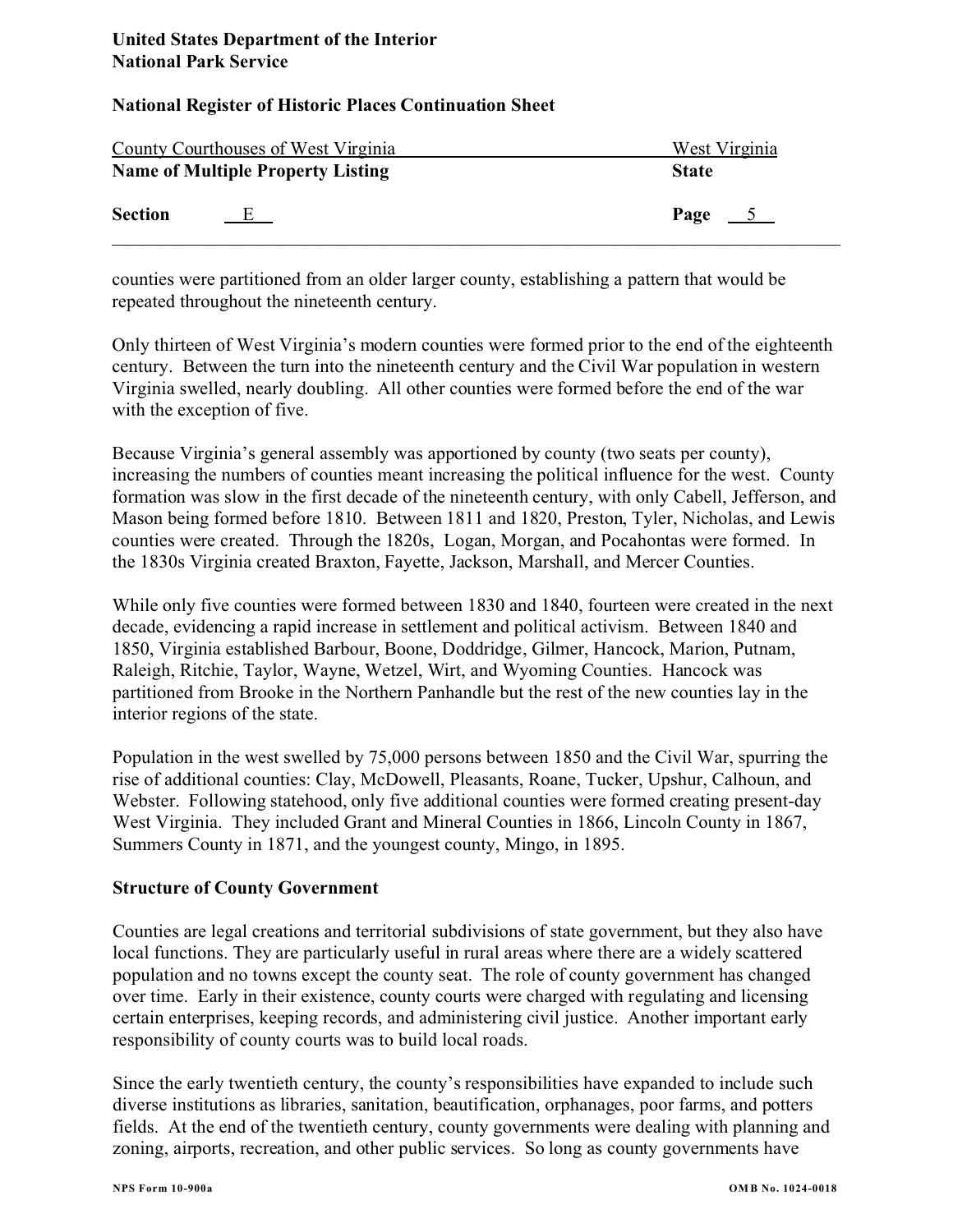|                | County Courthouses of West Virginia      | West Virginia      |
|----------------|------------------------------------------|--------------------|
|                | <b>Name of Multiple Property Listing</b> | <b>State</b>       |
| <b>Section</b> | E                                        | Page $\frac{5}{2}$ |

counties were partitioned from an older larger county, establishing a pattern that would be repeated throughout the nineteenth century.

Only thirteen of West Virginia's modern counties were formed prior to the end of the eighteenth century. Between the turn into the nineteenth century and the Civil War population in western Virginia swelled, nearly doubling. All other counties were formed before the end of the war with the exception of five.

Because Virginia's general assembly was apportioned by county (two seats per county), increasing the numbers of counties meant increasing the political influence for the west. County formation was slow in the first decade of the nineteenth century, with only Cabell, Jefferson, and Mason being formed before 1810. Between 1811 and 1820, Preston, Tyler, Nicholas, and Lewis counties were created. Through the 1820s, Logan, Morgan, and Pocahontas were formed. In the 1830s Virginia created Braxton, Fayette, Jackson, Marshall, and Mercer Counties.

While only five counties were formed between 1830 and 1840, fourteen were created in the next decade, evidencing a rapid increase in settlement and political activism. Between 1840 and 1850, Virginia established Barbour, Boone, Doddridge, Gilmer, Hancock, Marion, Putnam, Raleigh, Ritchie, Taylor, Wayne, Wetzel, Wirt, and Wyoming Counties. Hancock was partitioned from Brooke in the Northern Panhandle but the rest of the new counties lay in the interior regions of the state.

Population in the west swelled by 75,000 persons between 1850 and the Civil War, spurring the rise of additional counties: Clay, McDowell, Pleasants, Roane, Tucker, Upshur, Calhoun, and Webster. Following statehood, only five additional counties were formed creating present-day West Virginia. They included Grant and Mineral Counties in 1866, Lincoln County in 1867, Summers County in 1871, and the youngest county, Mingo, in 1895.

## **Structure of County Government**

Counties are legal creations and territorial subdivisions of state government, but they also have local functions. They are particularly useful in rural areas where there are a widely scattered population and no towns except the county seat. The role of county government has changed over time. Early in their existence, county courts were charged with regulating and licensing certain enterprises, keeping records, and administering civil justice. Another important early responsibility of county courts was to build local roads.

Since the early twentieth century, the county's responsibilities have expanded to include such diverse institutions as libraries, sanitation, beautification, orphanages, poor farms, and potters fields. At the end of the twentieth century, county governments were dealing with planning and zoning, airports, recreation, and other public services. So long as county governments have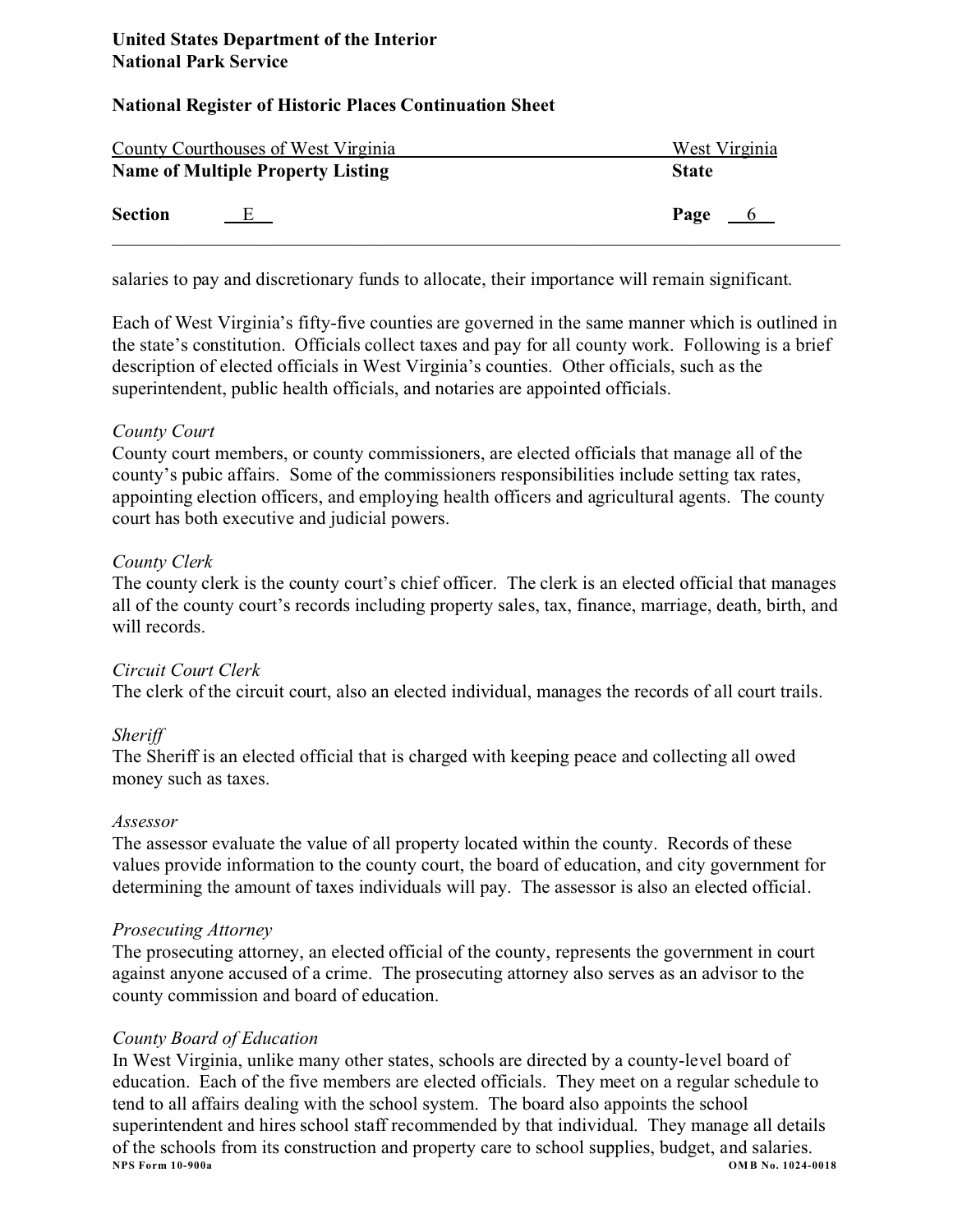# **National Register of Historic Places Continuation Sheet**

|                | County Courthouses of West Virginia      | West Virginia |
|----------------|------------------------------------------|---------------|
|                | <b>Name of Multiple Property Listing</b> | <b>State</b>  |
| <b>Section</b> | E                                        | Page $6$      |

salaries to pay and discretionary funds to allocate, their importance will remain significant.

Each of West Virginia's fifty-five counties are governed in the same manner which is outlined in the state's constitution. Officials collect taxes and pay for all county work. Following is a brief description of elected officials in West Virginia's counties. Other officials, such as the superintendent, public health officials, and notaries are appointed officials.

# *County Court*

County court members, or county commissioners, are elected officials that manage all of the county's pubic affairs. Some of the commissioners responsibilities include setting tax rates, appointing election officers, and employing health officers and agricultural agents. The county court has both executive and judicial powers.

# *County Clerk*

The county clerk is the county court's chief officer. The clerk is an elected official that manages all of the county court's records including property sales, tax, finance, marriage, death, birth, and will records.

# *Circuit Court Clerk*

The clerk of the circuit court, also an elected individual, manages the records of all court trails.

# *Sheriff*

The Sheriff is an elected official that is charged with keeping peace and collecting all owed money such as taxes.

## *Assessor*

The assessor evaluate the value of all property located within the county. Records of these values provide information to the county court, the board of education, and city government for determining the amount of taxes individuals will pay. The assessor is also an elected official.

# *Prosecuting Attorney*

The prosecuting attorney, an elected official of the county, represents the government in court against anyone accused of a crime. The prosecuting attorney also serves as an advisor to the county commission and board of education.

## *County Board of Education*

In West Virginia, unlike many other states, schools are directed by a county-level board of education. Each of the five members are elected officials. They meet on a regular schedule to tend to all affairs dealing with the school system. The board also appoints the school superintendent and hires school staff recommended by that individual. They manage all details of the schools from its construction and property care to school supplies, budget, and salaries.<br>NPS Form 10-900a<br>0MB No. 1024-0 **NPS Form 10-900a OM B No. 1024-0018**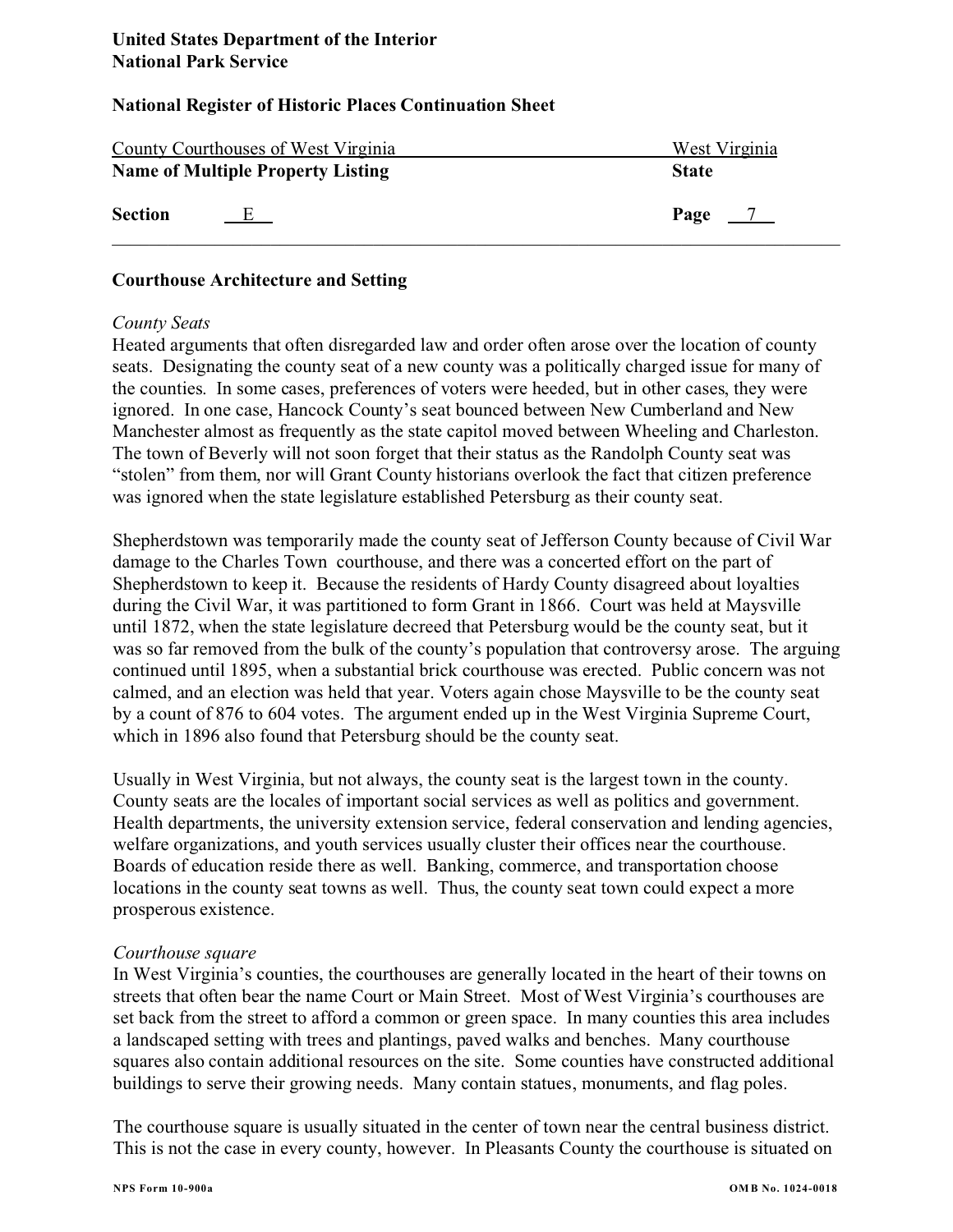|                | County Courthouses of West Virginia      | West Virginia |
|----------------|------------------------------------------|---------------|
|                | <b>Name of Multiple Property Listing</b> | <b>State</b>  |
| <b>Section</b> | Е.                                       | Page          |

## **Courthouse Architecture and Setting**

### *County Seats*

Heated arguments that often disregarded law and order often arose over the location of county seats. Designating the county seat of a new county was a politically charged issue for many of the counties. In some cases, preferences of voters were heeded, but in other cases, they were ignored. In one case, Hancock County's seat bounced between New Cumberland and New Manchester almost as frequently as the state capitol moved between Wheeling and Charleston. The town of Beverly will not soon forget that their status as the Randolph County seat was "stolen" from them, nor will Grant County historians overlook the fact that citizen preference was ignored when the state legislature established Petersburg as their county seat.

Shepherdstown was temporarily made the county seat of Jefferson County because of Civil War damage to the Charles Town courthouse, and there was a concerted effort on the part of Shepherdstown to keep it. Because the residents of Hardy County disagreed about loyalties during the Civil War, it was partitioned to form Grant in 1866. Court was held at Maysville until 1872, when the state legislature decreed that Petersburg would be the county seat, but it was so far removed from the bulk of the county's population that controversy arose. The arguing continued until 1895, when a substantial brick courthouse was erected. Public concern was not calmed, and an election was held that year. Voters again chose Maysville to be the county seat by a count of 876 to 604 votes. The argument ended up in the West Virginia Supreme Court, which in 1896 also found that Petersburg should be the county seat.

Usually in West Virginia, but not always, the county seat is the largest town in the county. County seats are the locales of important social services as well as politics and government. Health departments, the university extension service, federal conservation and lending agencies, welfare organizations, and youth services usually cluster their offices near the courthouse. Boards of education reside there as well. Banking, commerce, and transportation choose locations in the county seat towns as well. Thus, the county seat town could expect a more prosperous existence.

## *Courthouse square*

In West Virginia's counties, the courthouses are generally located in the heart of their towns on streets that often bear the name Court or Main Street. Most of West Virginia's courthouses are set back from the street to afford a common or green space. In many counties this area includes a landscaped setting with trees and plantings, paved walks and benches. Many courthouse squares also contain additional resources on the site. Some counties have constructed additional buildings to serve their growing needs. Many contain statues, monuments, and flag poles.

The courthouse square is usually situated in the center of town near the central business district. This is not the case in every county, however. In Pleasants County the courthouse is situated on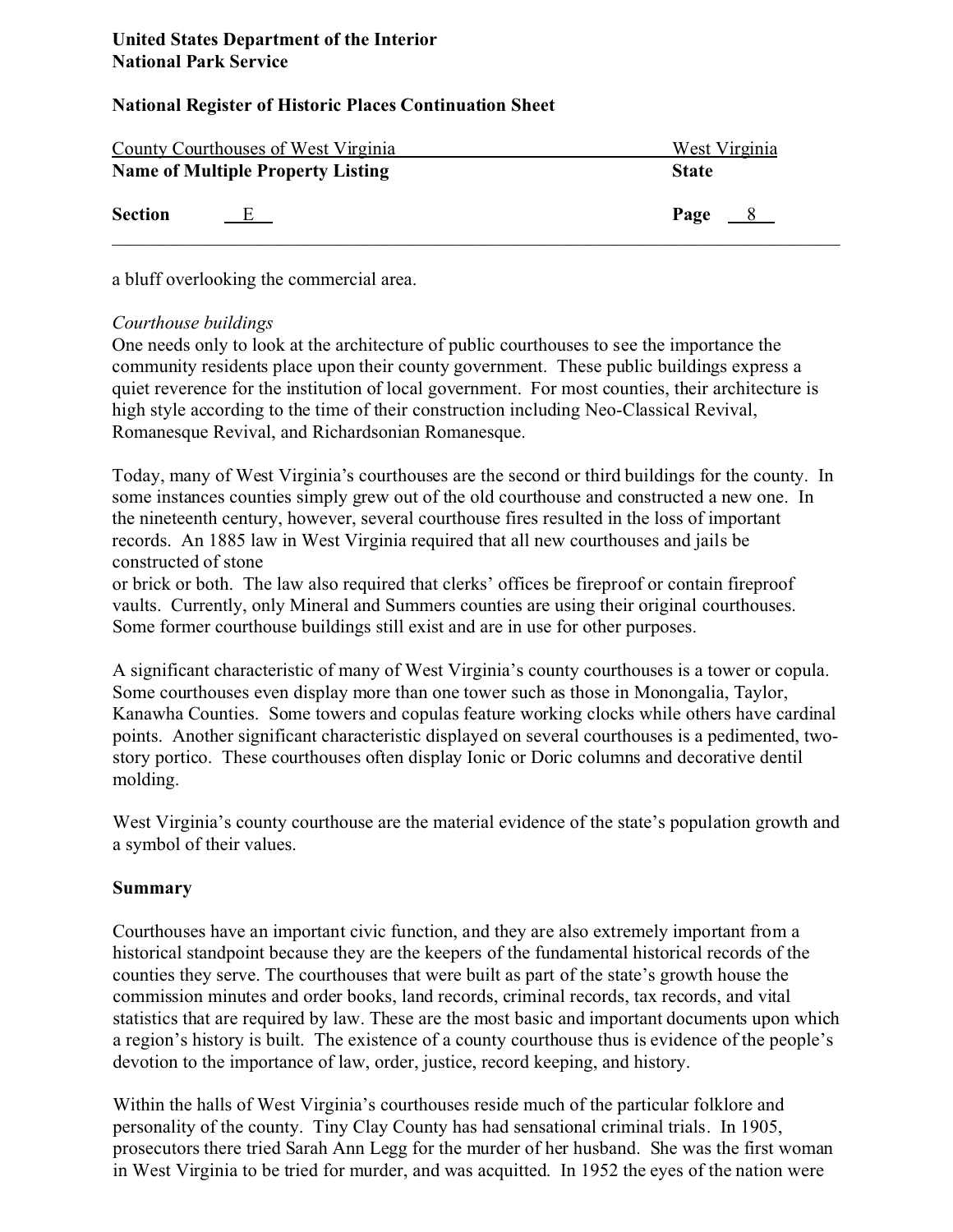| County Courthouses of West Virginia |                                          | West Virginia |
|-------------------------------------|------------------------------------------|---------------|
|                                     | <b>Name of Multiple Property Listing</b> | <b>State</b>  |
| <b>Section</b>                      | E                                        | Page $8$      |

a bluff overlooking the commercial area.

# *Courthouse buildings*

One needs only to look at the architecture of public courthouses to see the importance the community residents place upon their county government. These public buildings express a quiet reverence for the institution of local government. For most counties, their architecture is high style according to the time of their construction including Neo-Classical Revival, Romanesque Revival, and Richardsonian Romanesque.

Today, many of West Virginia's courthouses are the second or third buildings for the county. In some instances counties simply grew out of the old courthouse and constructed a new one. In the nineteenth century, however, several courthouse fires resulted in the loss of important records. An 1885 law in West Virginia required that all new courthouses and jails be constructed of stone

or brick or both. The law also required that clerks' offices be fireproof or contain fireproof vaults. Currently, only Mineral and Summers counties are using their original courthouses. Some former courthouse buildings still exist and are in use for other purposes.

A significant characteristic of many of West Virginia's county courthouses is a tower or copula. Some courthouses even display more than one tower such as those in Monongalia, Taylor, Kanawha Counties. Some towers and copulas feature working clocks while others have cardinal points. Another significant characteristic displayed on several courthouses is a pedimented, twostory portico. These courthouses often display Ionic or Doric columns and decorative dentil molding.

West Virginia's county courthouse are the material evidence of the state's population growth and a symbol of their values.

# **Summary**

Courthouses have an important civic function, and they are also extremely important from a historical standpoint because they are the keepers of the fundamental historical records of the counties they serve. The courthouses that were built as part of the state's growth house the commission minutes and order books, land records, criminal records, tax records, and vital statistics that are required by law. These are the most basic and important documents upon which a region's history is built. The existence of a county courthouse thus is evidence of the people's devotion to the importance of law, order, justice, record keeping, and history.

Within the halls of West Virginia's courthouses reside much of the particular folklore and personality of the county. Tiny Clay County has had sensational criminal trials. In 1905, prosecutors there tried Sarah Ann Legg for the murder of her husband. She was the first woman in West Virginia to be tried for murder, and was acquitted. In 1952 the eyes of the nation were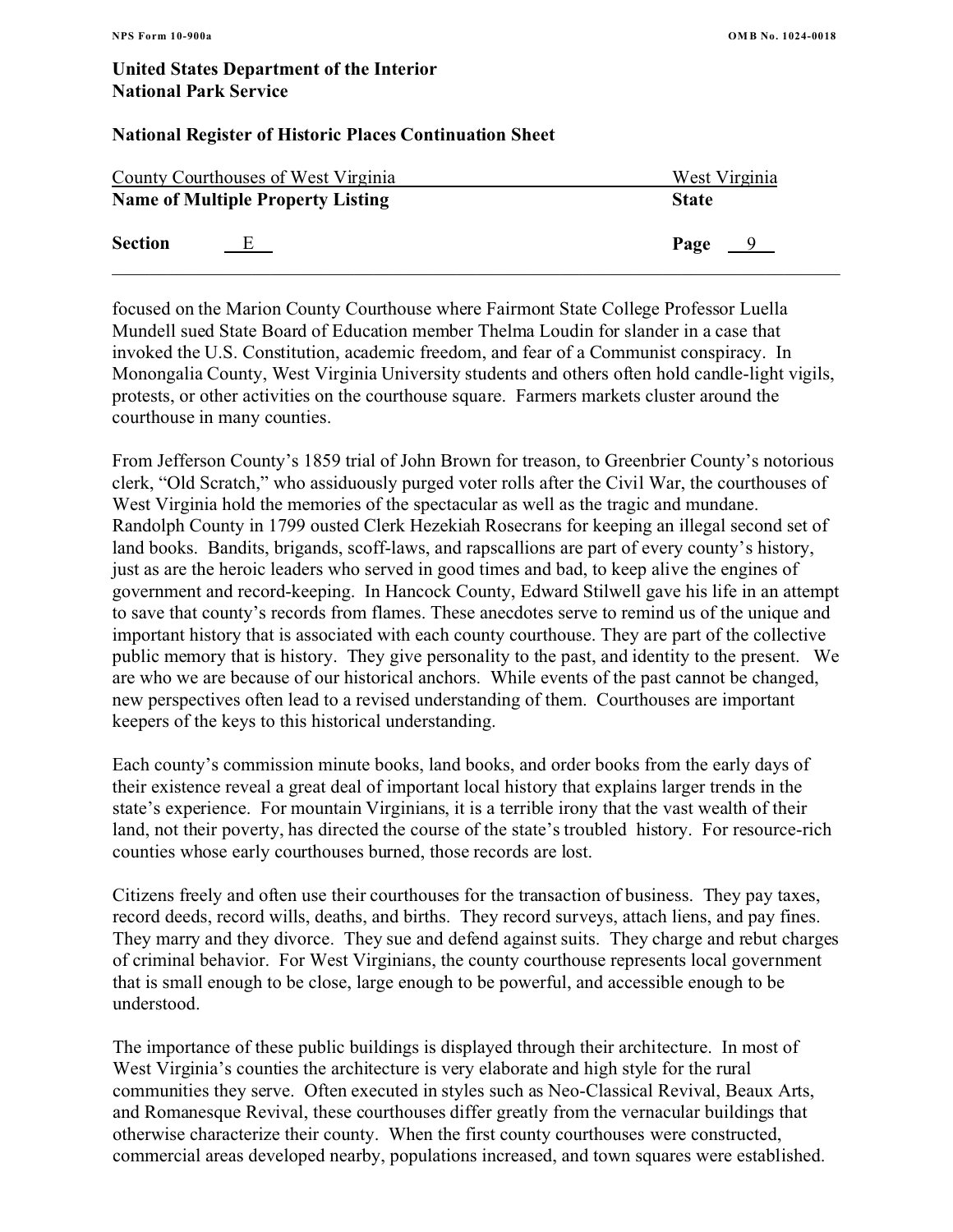### **National Register of Historic Places Continuation Sheet**

|                | County Courthouses of West Virginia      | West Virginia         |
|----------------|------------------------------------------|-----------------------|
|                | <b>Name of Multiple Property Listing</b> | <b>State</b>          |
| <b>Section</b> | E.                                       | Page<br>$\frac{9}{2}$ |

focused on the Marion County Courthouse where Fairmont State College Professor Luella Mundell sued State Board of Education member Thelma Loudin for slander in a case that invoked the U.S. Constitution, academic freedom, and fear of a Communist conspiracy. In Monongalia County, West Virginia University students and others often hold candle-light vigils, protests, or other activities on the courthouse square. Farmers markets cluster around the courthouse in many counties.

From Jefferson County's 1859 trial of John Brown for treason, to Greenbrier County's notorious clerk, "Old Scratch," who assiduously purged voter rolls after the Civil War, the courthouses of West Virginia hold the memories of the spectacular as well as the tragic and mundane. Randolph County in 1799 ousted Clerk Hezekiah Rosecrans for keeping an illegal second set of land books. Bandits, brigands, scoff-laws, and rapscallions are part of every county's history, just as are the heroic leaders who served in good times and bad, to keep alive the engines of government and record-keeping. In Hancock County, Edward Stilwell gave his life in an attempt to save that county's records from flames. These anecdotes serve to remind us of the unique and important history that is associated with each county courthouse. They are part of the collective public memory that is history. They give personality to the past, and identity to the present. We are who we are because of our historical anchors. While events of the past cannot be changed, new perspectives often lead to a revised understanding of them. Courthouses are important keepers of the keys to this historical understanding.

Each county's commission minute books, land books, and order books from the early days of their existence reveal a great deal of important local history that explains larger trends in the state's experience. For mountain Virginians, it is a terrible irony that the vast wealth of their land, not their poverty, has directed the course of the state's troubled history. For resource-rich counties whose early courthouses burned, those records are lost.

Citizens freely and often use their courthouses for the transaction of business. They pay taxes, record deeds, record wills, deaths, and births. They record surveys, attach liens, and pay fines. They marry and they divorce. They sue and defend against suits. They charge and rebut charges of criminal behavior. For West Virginians, the county courthouse represents local government that is small enough to be close, large enough to be powerful, and accessible enough to be understood.

The importance of these public buildings is displayed through their architecture. In most of West Virginia's counties the architecture is very elaborate and high style for the rural communities they serve. Often executed in styles such as Neo-Classical Revival, Beaux Arts, and Romanesque Revival, these courthouses differ greatly from the vernacular buildings that otherwise characterize their county. When the first county courthouses were constructed, commercial areas developed nearby, populations increased, and town squares were established.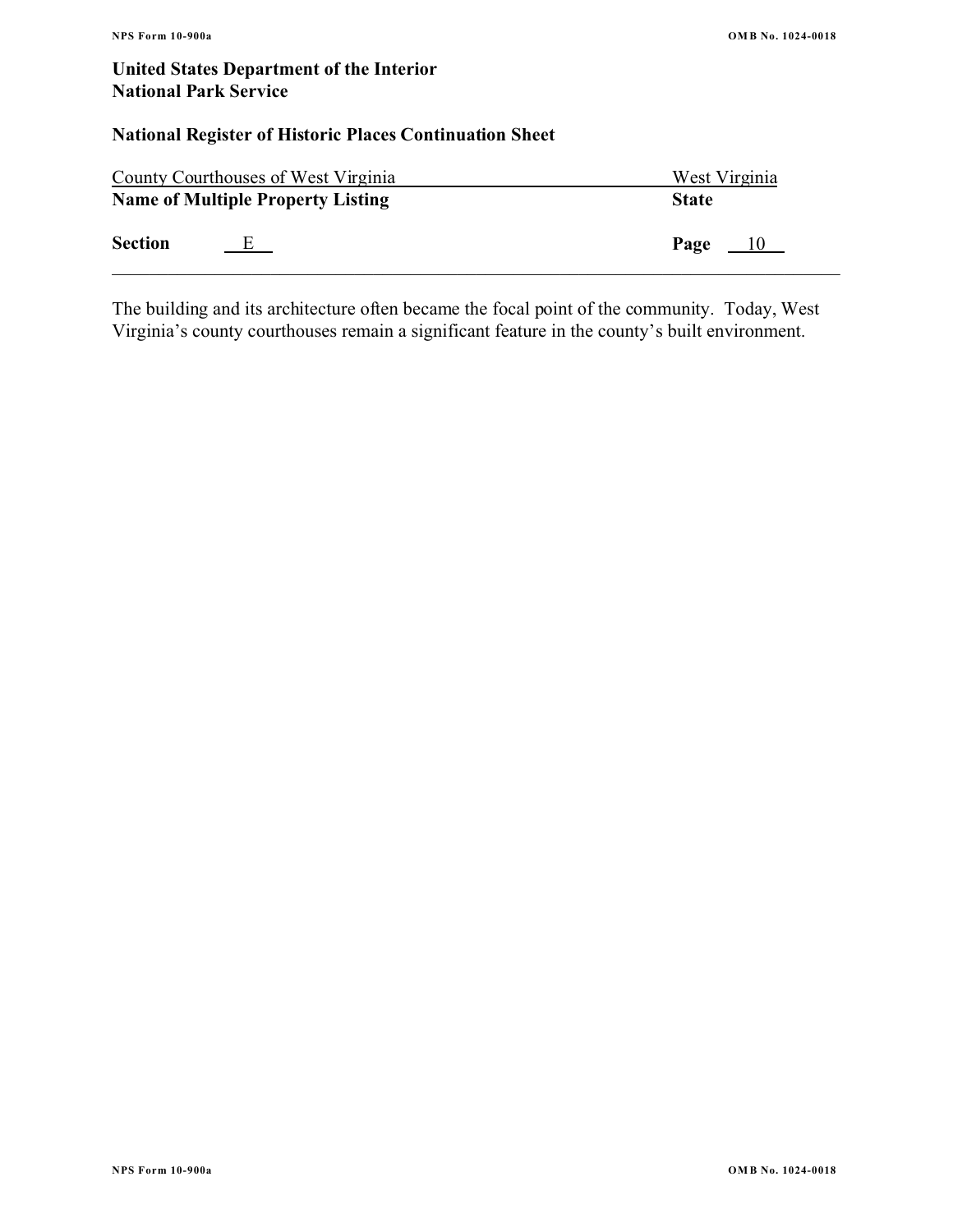# **National Register of Historic Places Continuation Sheet**

|                | County Courthouses of West Virginia      | West Virginia |
|----------------|------------------------------------------|---------------|
|                | <b>Name of Multiple Property Listing</b> | <b>State</b>  |
| <b>Section</b> | E                                        | Page<br>$-10$ |

The building and its architecture often became the focal point of the community. Today, West Virginia's county courthouses remain a significant feature in the county's built environment.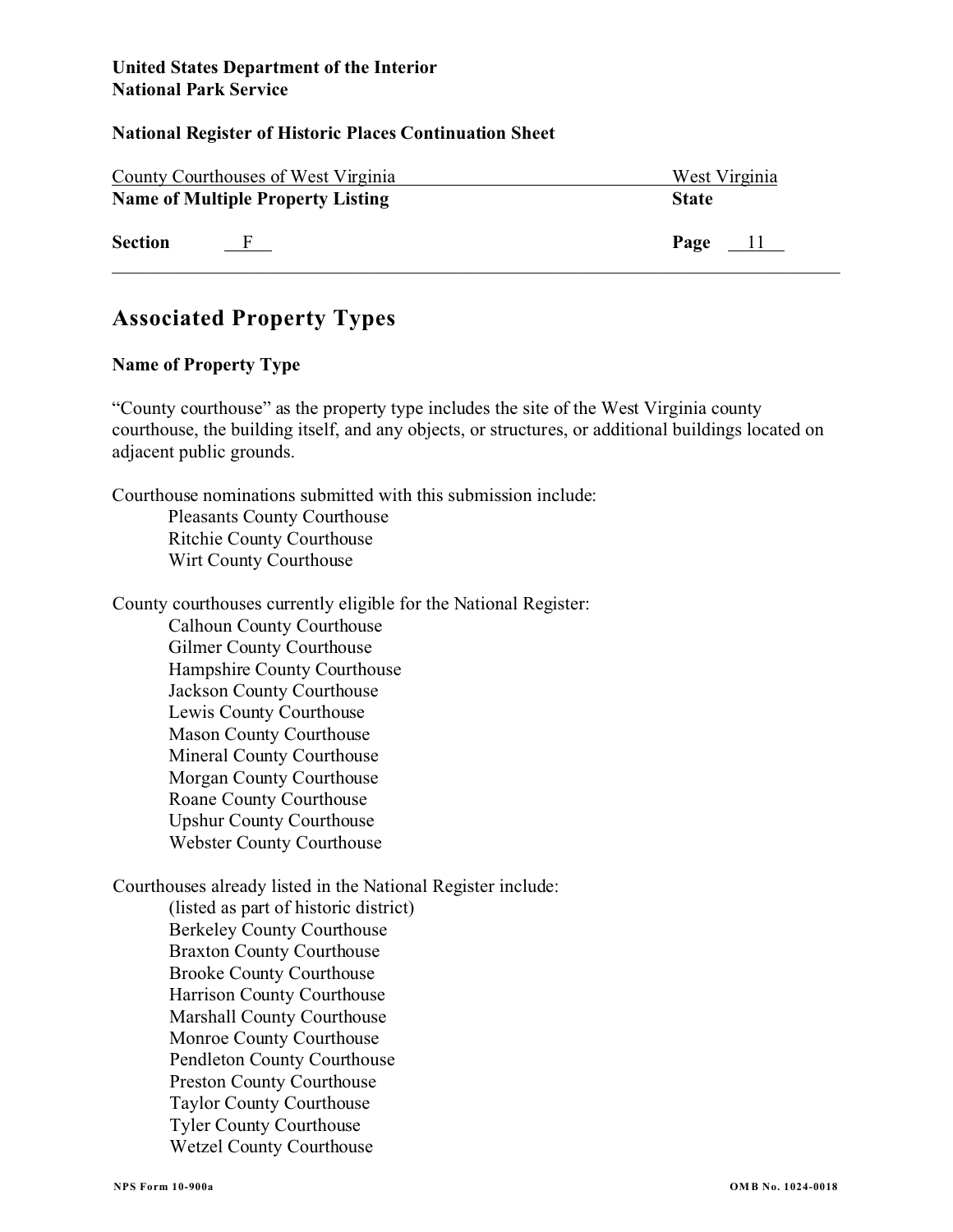### **National Register of Historic Places Continuation Sheet**

|                | County Courthouses of West Virginia      | West Virginia |
|----------------|------------------------------------------|---------------|
|                | <b>Name of Multiple Property Listing</b> | <b>State</b>  |
| <b>Section</b> |                                          | Page $11$     |

# **Associated Property Types**

# **Name of Property Type**

"County courthouse" as the property type includes the site of the West Virginia county courthouse, the building itself, and any objects, or structures, or additional buildings located on adjacent public grounds.

Courthouse nominations submitted with this submission include: Pleasants County Courthouse Ritchie County Courthouse

Wirt County Courthouse

County courthouses currently eligible for the National Register:

Calhoun County Courthouse Gilmer County Courthouse Hampshire County Courthouse Jackson County Courthouse Lewis County Courthouse Mason County Courthouse Mineral County Courthouse Morgan County Courthouse Roane County Courthouse Upshur County Courthouse Webster County Courthouse

Courthouses already listed in the National Register include:

(listed as part of historic district) Berkeley County Courthouse Braxton County Courthouse Brooke County Courthouse Harrison County Courthouse Marshall County Courthouse Monroe County Courthouse Pendleton County Courthouse Preston County Courthouse Taylor County Courthouse Tyler County Courthouse Wetzel County Courthouse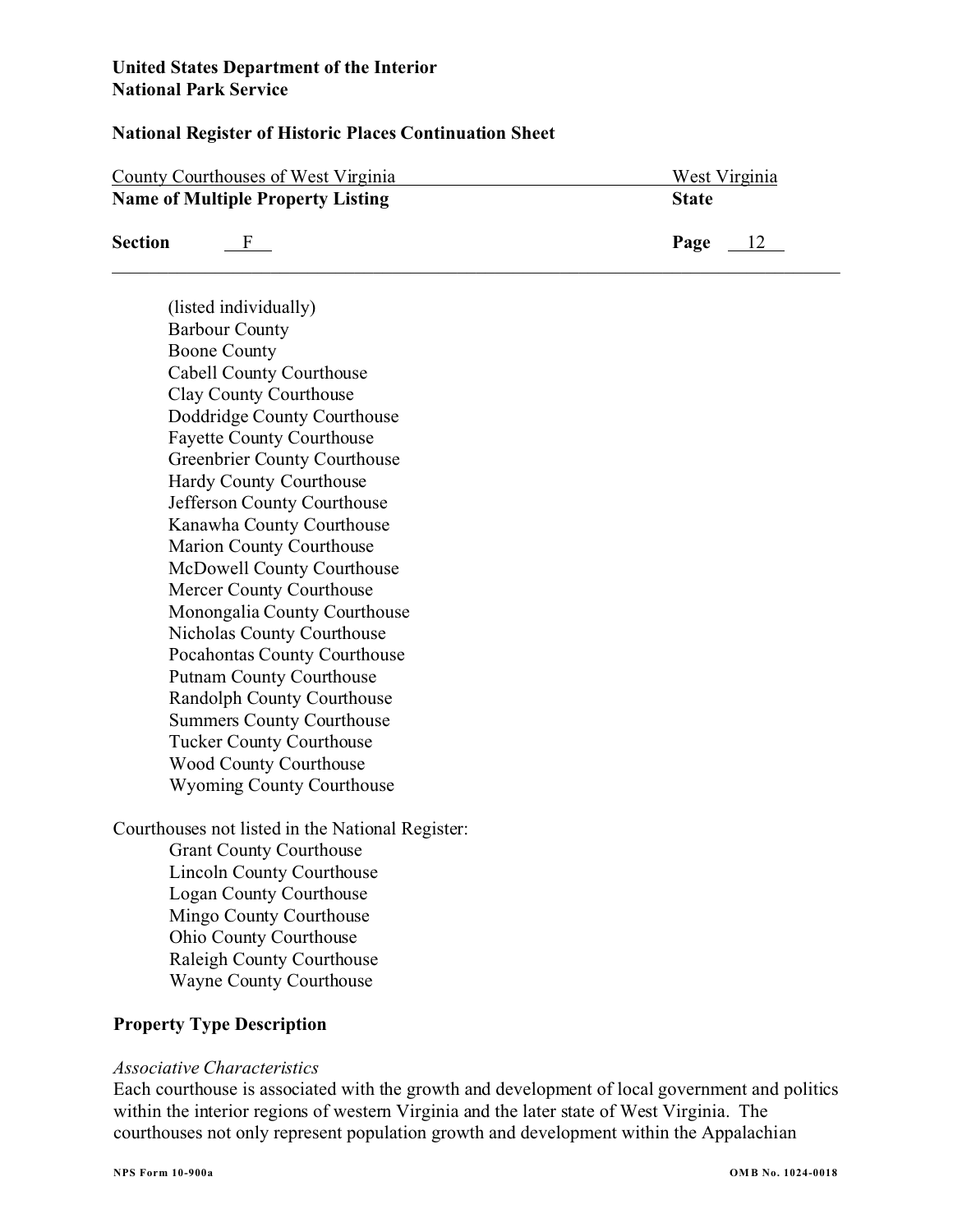### **National Register of Historic Places Continuation Sheet**

| County Courthouses of West Virginia |                                          | West Virginia          |
|-------------------------------------|------------------------------------------|------------------------|
|                                     | <b>Name of Multiple Property Listing</b> | <b>State</b>           |
| <b>Section</b>                      |                                          | Page<br>$\frac{12}{2}$ |

(listed individually) Barbour County Boone County Cabell County Courthouse Clay County Courthouse Doddridge County Courthouse Fayette County Courthouse Greenbrier County Courthouse Hardy County Courthouse Jefferson County Courthouse Kanawha County Courthouse Marion County Courthouse McDowell County Courthouse Mercer County Courthouse Monongalia County Courthouse Nicholas County Courthouse Pocahontas County Courthouse Putnam County Courthouse Randolph County Courthouse Summers County Courthouse Tucker County Courthouse Wood County Courthouse Wyoming County Courthouse

Courthouses not listed in the National Register: Grant County Courthouse Lincoln County Courthouse Logan County Courthouse Mingo County Courthouse Ohio County Courthouse Raleigh County Courthouse Wayne County Courthouse

## **Property Type Description**

### *Associative Characteristics*

Each courthouse is associated with the growth and development of local government and politics within the interior regions of western Virginia and the later state of West Virginia. The courthouses not only represent population growth and development within the Appalachian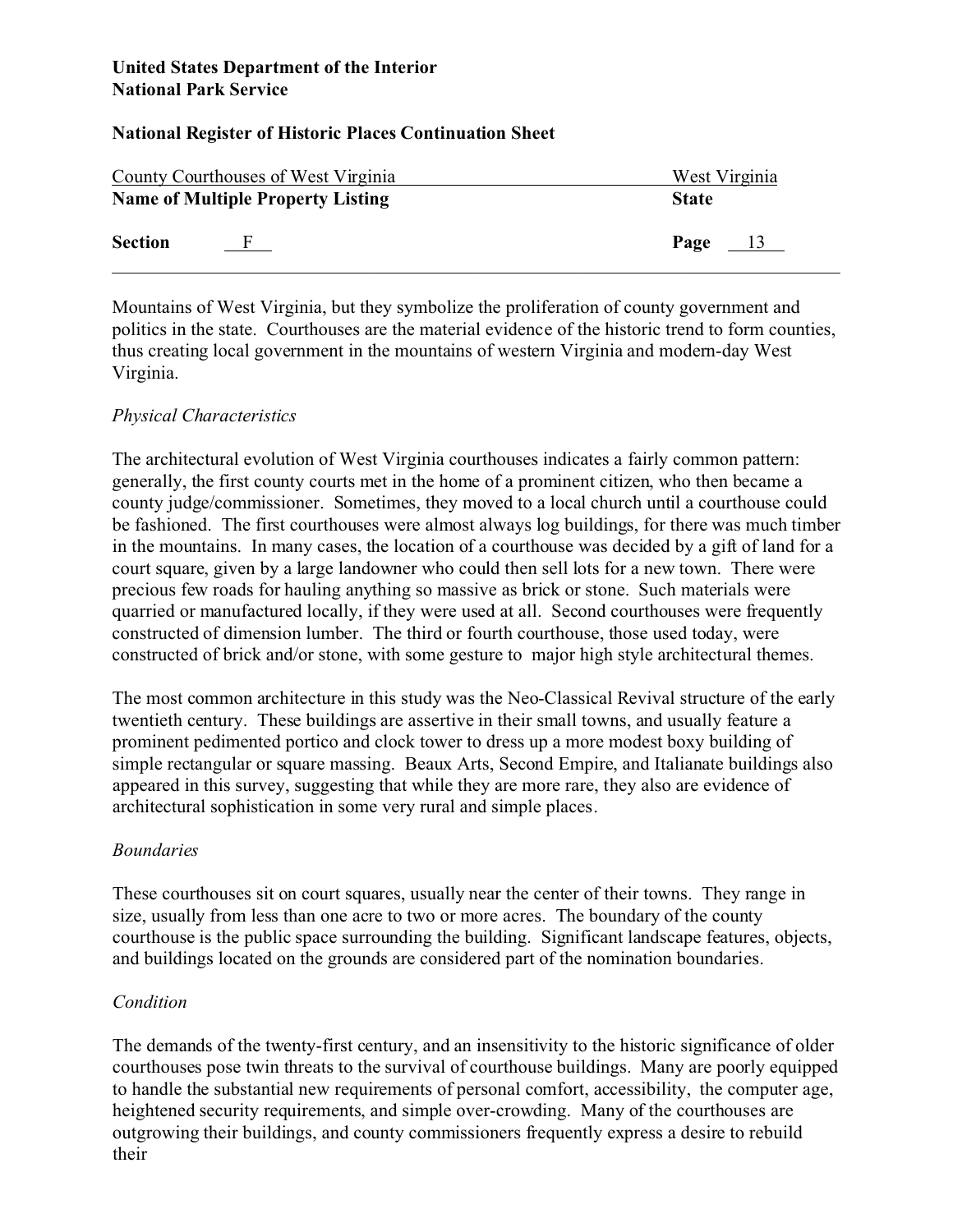# **National Register of Historic Places Continuation Sheet**

| County Courthouses of West Virginia      |     | West Virginia          |
|------------------------------------------|-----|------------------------|
| <b>Name of Multiple Property Listing</b> |     | <b>State</b>           |
| <b>Section</b>                           | - F | Page<br>$\frac{13}{2}$ |

Mountains of West Virginia, but they symbolize the proliferation of county government and politics in the state. Courthouses are the material evidence of the historic trend to form counties, thus creating local government in the mountains of western Virginia and modern-day West Virginia.

# *Physical Characteristics*

The architectural evolution of West Virginia courthouses indicates a fairly common pattern: generally, the first county courts met in the home of a prominent citizen, who then became a county judge/commissioner. Sometimes, they moved to a local church until a courthouse could be fashioned. The first courthouses were almost always log buildings, for there was much timber in the mountains. In many cases, the location of a courthouse was decided by a gift of land for a court square, given by a large landowner who could then sell lots for a new town. There were precious few roads for hauling anything so massive as brick or stone. Such materials were quarried or manufactured locally, if they were used at all. Second courthouses were frequently constructed of dimension lumber. The third or fourth courthouse, those used today, were constructed of brick and/or stone, with some gesture to major high style architectural themes.

The most common architecture in this study was the Neo-Classical Revival structure of the early twentieth century. These buildings are assertive in their small towns, and usually feature a prominent pedimented portico and clock tower to dress up a more modest boxy building of simple rectangular or square massing. Beaux Arts, Second Empire, and Italianate buildings also appeared in this survey, suggesting that while they are more rare, they also are evidence of architectural sophistication in some very rural and simple places.

## *Boundaries*

These courthouses sit on court squares, usually near the center of their towns. They range in size, usually from less than one acre to two or more acres. The boundary of the county courthouse is the public space surrounding the building. Significant landscape features, objects, and buildings located on the grounds are considered part of the nomination boundaries.

# *Condition*

The demands of the twenty-first century, and an insensitivity to the historic significance of older courthouses pose twin threats to the survival of courthouse buildings. Many are poorly equipped to handle the substantial new requirements of personal comfort, accessibility, the computer age, heightened security requirements, and simple over-crowding. Many of the courthouses are outgrowing their buildings, and county commissioners frequently express a desire to rebuild their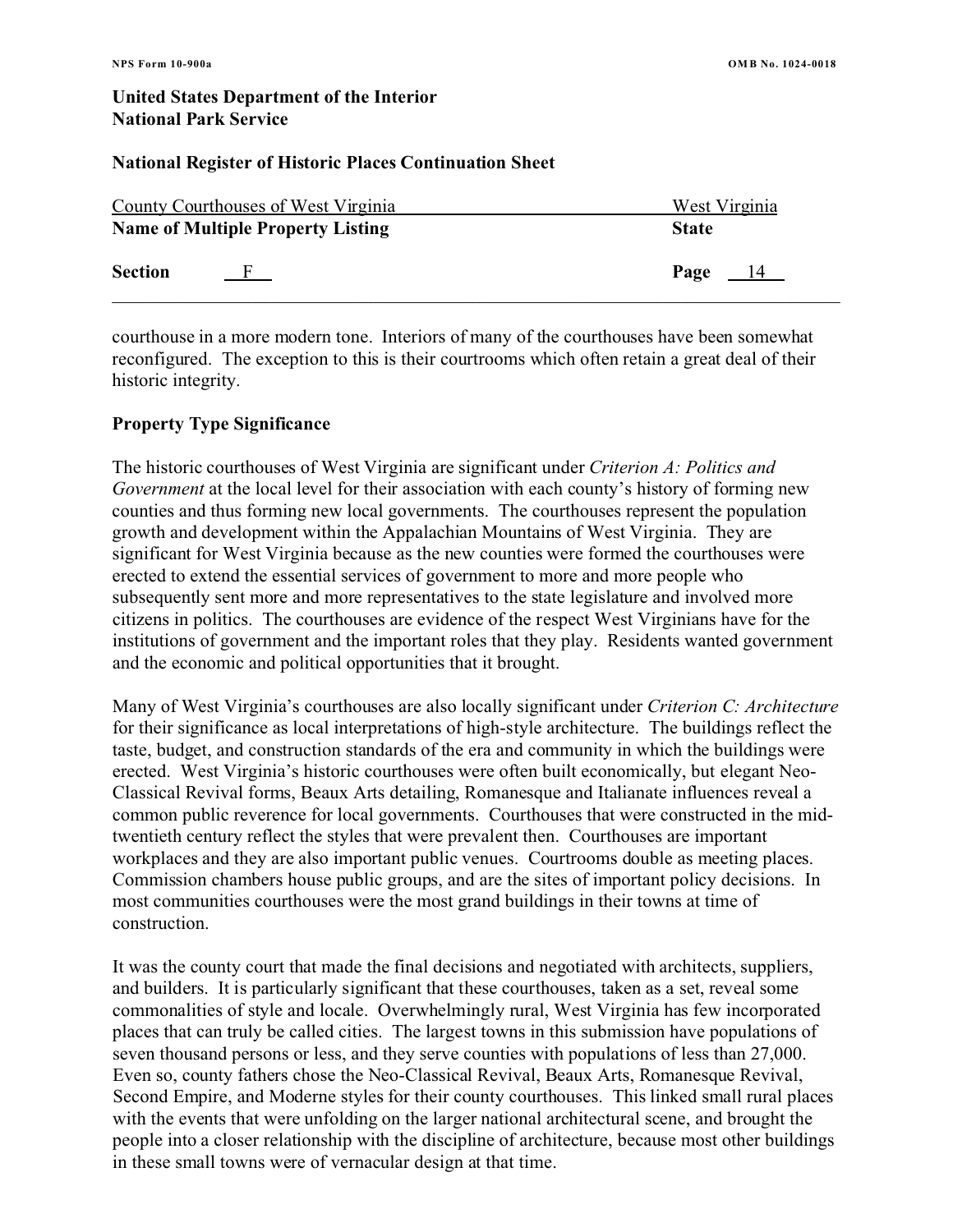### **National Register of Historic Places Continuation Sheet**

| <b>County Courthouses of West Virginia</b> |                                          | West Virginia          |
|--------------------------------------------|------------------------------------------|------------------------|
|                                            | <b>Name of Multiple Property Listing</b> | <b>State</b>           |
| <b>Section</b>                             |                                          | Page<br>$\frac{14}{1}$ |

courthouse in a more modern tone. Interiors of many of the courthouses have been somewhat reconfigured. The exception to this is their courtrooms which often retain a great deal of their historic integrity.

# **Property Type Significance**

The historic courthouses of West Virginia are significant under *Criterion A: Politics and Government* at the local level for their association with each county's history of forming new counties and thus forming new local governments. The courthouses represent the population growth and development within the Appalachian Mountains of West Virginia. They are significant for West Virginia because as the new counties were formed the courthouses were erected to extend the essential services of government to more and more people who subsequently sent more and more representatives to the state legislature and involved more citizens in politics. The courthouses are evidence of the respect West Virginians have for the institutions of government and the important roles that they play. Residents wanted government and the economic and political opportunities that it brought.

Many of West Virginia's courthouses are also locally significant under *Criterion C: Architecture* for their significance as local interpretations of high-style architecture. The buildings reflect the taste, budget, and construction standards of the era and community in which the buildings were erected. West Virginia's historic courthouses were often built economically, but elegant Neo-Classical Revival forms, Beaux Arts detailing, Romanesque and Italianate influences reveal a common public reverence for local governments. Courthouses that were constructed in the midtwentieth century reflect the styles that were prevalent then. Courthouses are important workplaces and they are also important public venues. Courtrooms double as meeting places. Commission chambers house public groups, and are the sites of important policy decisions. In most communities courthouses were the most grand buildings in their towns at time of construction.

It was the county court that made the final decisions and negotiated with architects, suppliers, and builders. It is particularly significant that these courthouses, taken as a set, reveal some commonalities of style and locale. Overwhelmingly rural, West Virginia has few incorporated places that can truly be called cities. The largest towns in this submission have populations of seven thousand persons or less, and they serve counties with populations of less than 27,000. Even so, county fathers chose the Neo-Classical Revival, Beaux Arts, Romanesque Revival, Second Empire, and Moderne styles for their county courthouses. This linked small rural places with the events that were unfolding on the larger national architectural scene, and brought the people into a closer relationship with the discipline of architecture, because most other buildings in these small towns were of vernacular design at that time.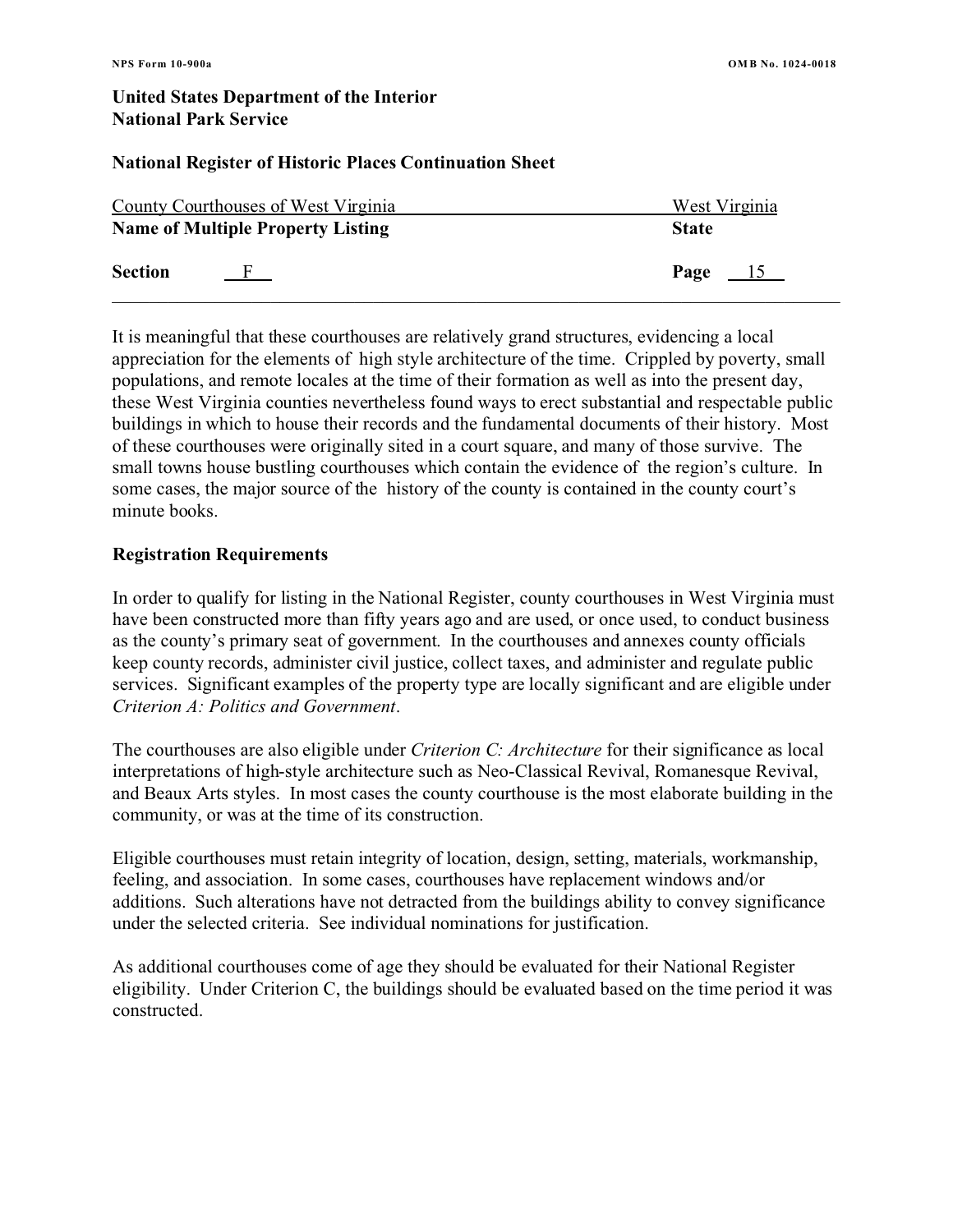### **National Register of Historic Places Continuation Sheet**

| County Courthouses of West Virginia      |  | West Virginia          |  |
|------------------------------------------|--|------------------------|--|
| <b>Name of Multiple Property Listing</b> |  | <b>State</b>           |  |
| <b>Section</b>                           |  | Page<br>$\frac{15}{2}$ |  |

It is meaningful that these courthouses are relatively grand structures, evidencing a local appreciation for the elements of high style architecture of the time.Crippled by poverty, small populations, and remote locales at the time of their formation as well as into the present day, these West Virginia counties nevertheless found ways to erect substantial and respectable public buildings in which to house their records and the fundamental documents of their history. Most of these courthouses were originally sited in a court square, and many of those survive. The small towns house bustling courthouses which contain the evidence of the region's culture. In some cases, the major source of the history of the county is contained in the county court's minute books.

### **Registration Requirements**

In order to qualify for listing in the National Register, county courthouses in West Virginia must have been constructed more than fifty years ago and are used, or once used, to conduct business as the county's primary seat of government. In the courthouses and annexes county officials keep county records, administer civil justice, collect taxes, and administer and regulate public services. Significant examples of the property type are locally significant and are eligible under *Criterion A: Politics and Government*.

The courthouses are also eligible under *Criterion C: Architecture* for their significance as local interpretations of high-style architecture such as Neo-Classical Revival, Romanesque Revival, and Beaux Arts styles. In most cases the county courthouse is the most elaborate building in the community, or was at the time of its construction.

Eligible courthouses must retain integrity of location, design, setting, materials, workmanship, feeling, and association. In some cases, courthouses have replacement windows and/or additions. Such alterations have not detracted from the buildings ability to convey significance under the selected criteria. See individual nominations for justification.

As additional courthouses come of age they should be evaluated for their National Register eligibility. Under Criterion C, the buildings should be evaluated based on the time period it was constructed.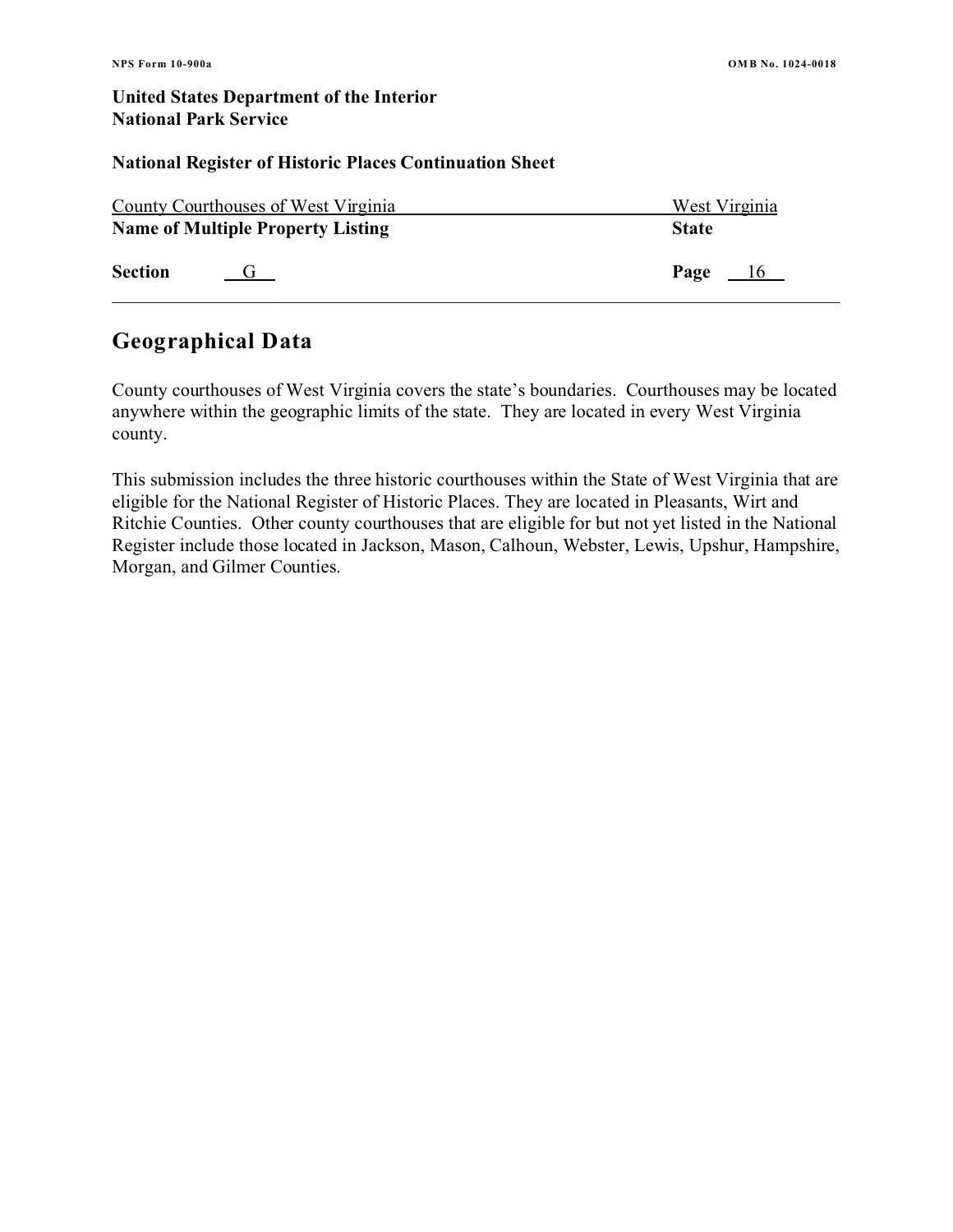#### **National Register of Historic Places Continuation Sheet**

| County Courthouses of West Virginia |                                          | West Virginia |  |
|-------------------------------------|------------------------------------------|---------------|--|
|                                     | <b>Name of Multiple Property Listing</b> | <b>State</b>  |  |
| <b>Section</b>                      |                                          | Page<br>16    |  |

# **Geographical Data**

County courthouses of West Virginia covers the state's boundaries. Courthouses may be located anywhere within the geographic limits of the state. They are located in every West Virginia county.

This submission includes the three historic courthouses within the State of West Virginia that are eligible for the National Register of Historic Places. They are located in Pleasants, Wirt and Ritchie Counties. Other county courthouses that are eligible for but not yet listed in the National Register include those located in Jackson, Mason, Calhoun, Webster, Lewis, Upshur, Hampshire, Morgan, and Gilmer Counties.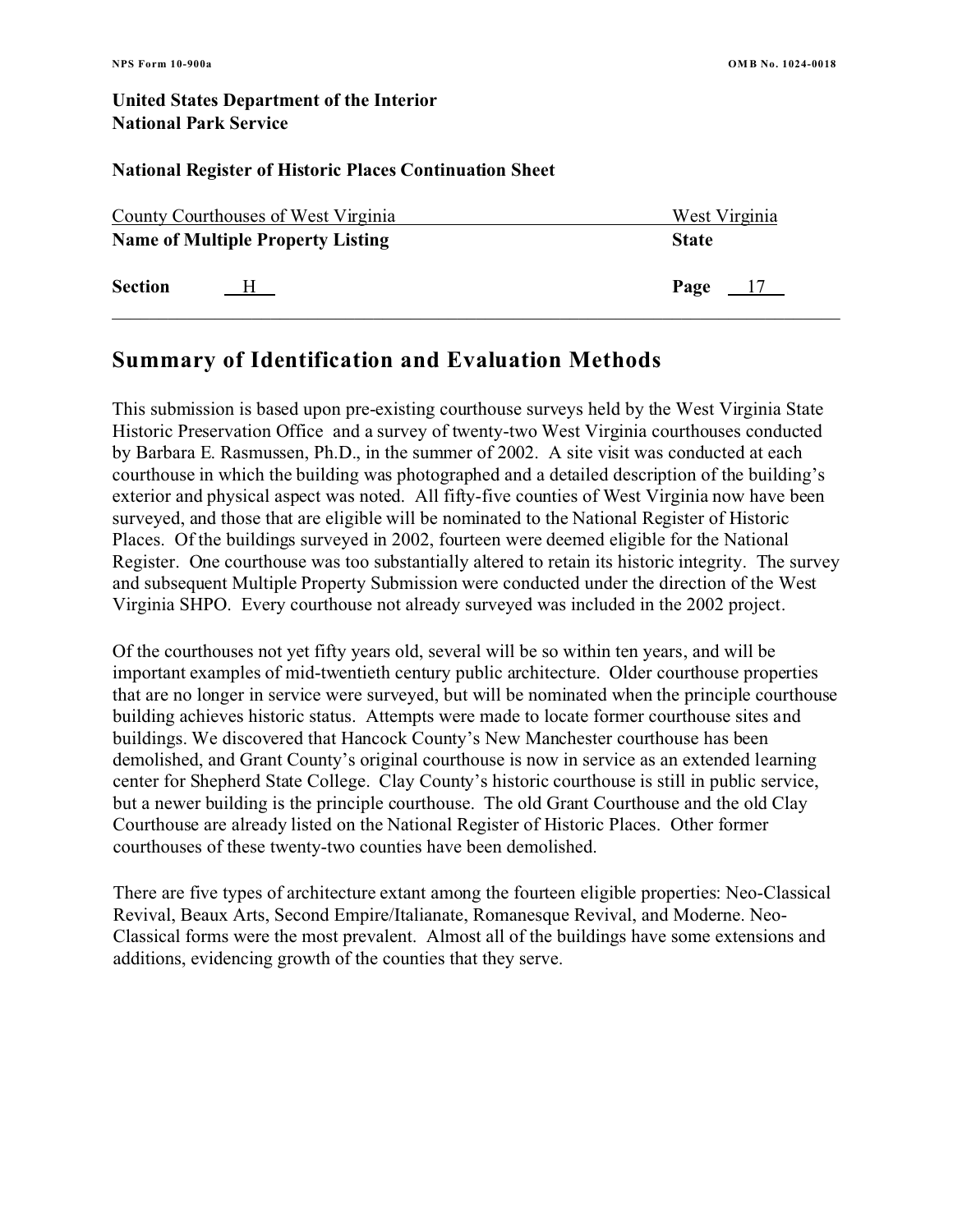### **National Register of Historic Places Continuation Sheet**

| <b>County Courthouses of West Virginia</b> |   | West Virginia          |
|--------------------------------------------|---|------------------------|
| <b>Name of Multiple Property Listing</b>   |   | <b>State</b>           |
| <b>Section</b>                             | H | Page<br>$\frac{17}{2}$ |

# **Summary of Identification and Evaluation Methods**

This submission is based upon pre-existing courthouse surveys held by the West Virginia State Historic Preservation Office and a survey of twenty-two West Virginia courthouses conducted by Barbara E. Rasmussen, Ph.D., in the summer of 2002. A site visit was conducted at each courthouse in which the building was photographed and a detailed description of the building's exterior and physical aspect was noted. All fifty-five counties of West Virginia now have been surveyed, and those that are eligible will be nominated to the National Register of Historic Places. Of the buildings surveyed in 2002, fourteen were deemed eligible for the National Register. One courthouse was too substantially altered to retain its historic integrity. The survey and subsequent Multiple Property Submission were conducted under the direction of the West Virginia SHPO. Every courthouse not already surveyed was included in the 2002 project.

Of the courthouses not yet fifty years old, several will be so within ten years, and will be important examples of mid-twentieth century public architecture. Older courthouse properties that are no longer in service were surveyed, but will be nominated when the principle courthouse building achieves historic status. Attempts were made to locate former courthouse sites and buildings. We discovered that Hancock County's New Manchester courthouse has been demolished, and Grant County's original courthouse is now in service as an extended learning center for Shepherd State College. Clay County's historic courthouse is still in public service, but a newer building is the principle courthouse. The old Grant Courthouse and the old Clay Courthouse are already listed on the National Register of Historic Places. Other former courthouses of these twenty-two counties have been demolished.

There are five types of architecture extant among the fourteen eligible properties: Neo-Classical Revival, Beaux Arts, Second Empire/Italianate, Romanesque Revival, and Moderne. Neo-Classical forms were the most prevalent. Almost all of the buildings have some extensions and additions, evidencing growth of the counties that they serve.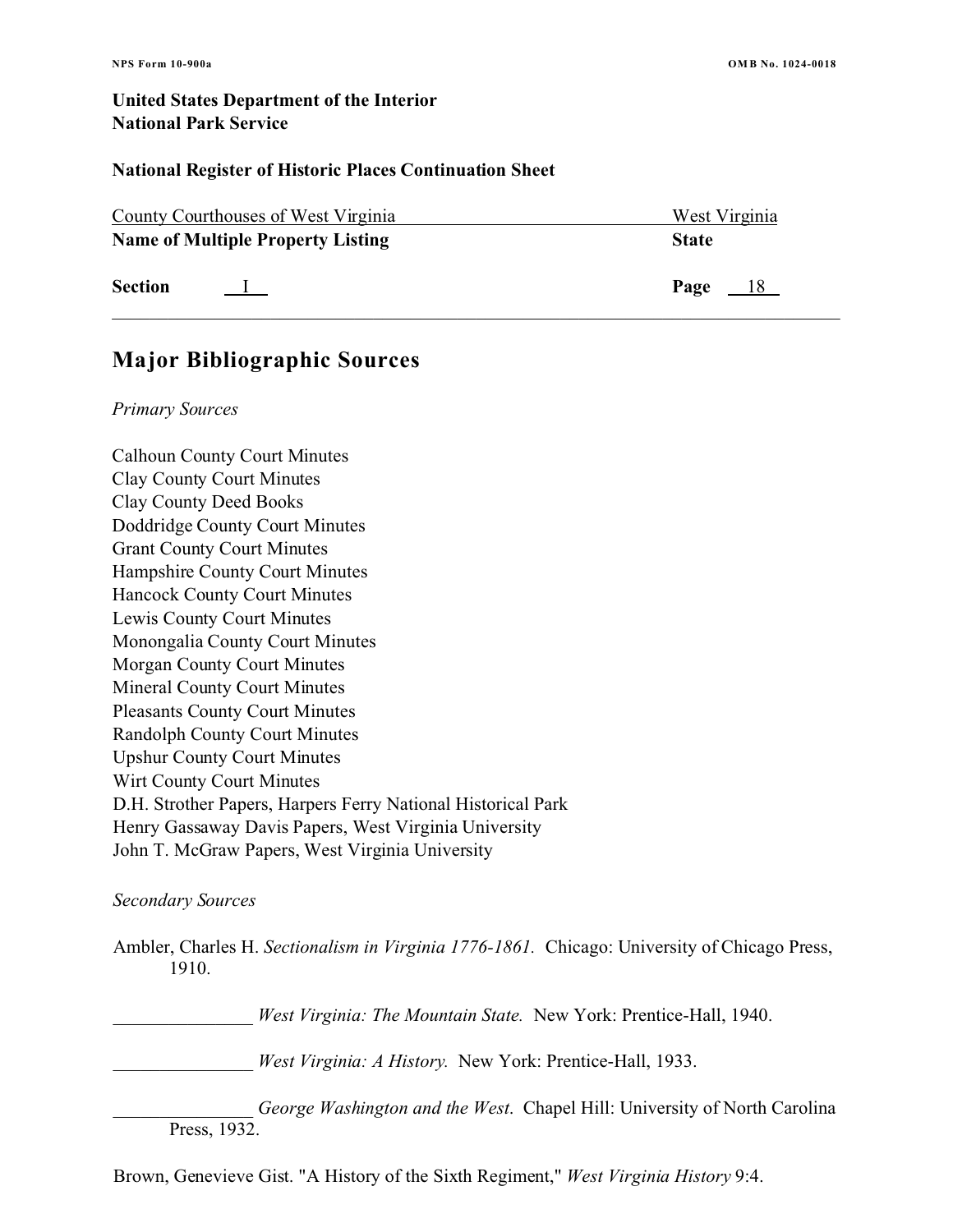### **National Register of Historic Places Continuation Sheet**

| County Courthouses of West Virginia |                                          | West Virginia |
|-------------------------------------|------------------------------------------|---------------|
|                                     | <b>Name of Multiple Property Listing</b> | <b>State</b>  |
| <b>Section</b>                      |                                          | Page<br>$-18$ |

# **Major Bibliographic Sources**

#### *Primary Sources*

Calhoun County Court Minutes Clay County Court Minutes Clay County Deed Books Doddridge County Court Minutes Grant County Court Minutes Hampshire County Court Minutes Hancock County Court Minutes Lewis County Court Minutes Monongalia County Court Minutes Morgan County Court Minutes Mineral County Court Minutes Pleasants County Court Minutes Randolph County Court Minutes Upshur County Court Minutes Wirt County Court Minutes D.H. Strother Papers, Harpers Ferry National Historical Park Henry Gassaway Davis Papers, West Virginia University John T. McGraw Papers, West Virginia University

### *Secondary Sources*

Ambler, Charles H. *Sectionalism in Virginia 1776-1861.* Chicago: University of Chicago Press, 1910.

\_\_\_\_\_\_\_\_\_\_\_\_\_\_\_ *West Virginia: The Mountain State.* New York: Prentice-Hall, 1940.

\_\_\_\_\_\_\_\_\_\_\_\_\_\_\_ *West Virginia: A History.* New York: Prentice-Hall, 1933.

George Washington and the West. Chapel Hill: University of North Carolina Press, 1932.

Brown, Genevieve Gist. "A History of the Sixth Regiment," *West Virginia History* 9:4.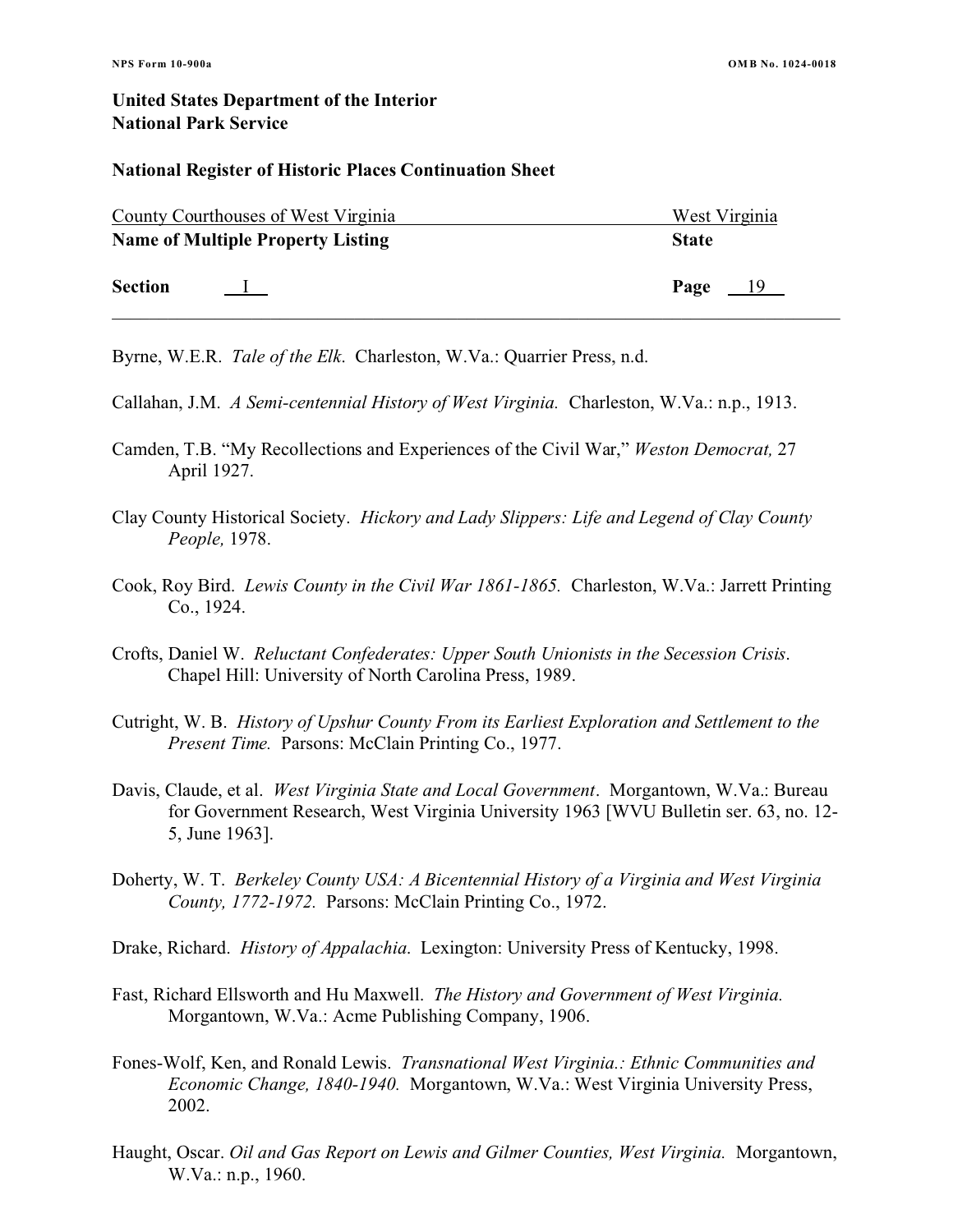#### **National Register of Historic Places Continuation Sheet**

| <b>County Courthouses of West Virginia</b> |                                          | West Virginia |
|--------------------------------------------|------------------------------------------|---------------|
|                                            | <b>Name of Multiple Property Listing</b> | <b>State</b>  |
| <b>Section</b>                             | $\mathbf{I}$                             | Page<br>$-19$ |

Byrne, W.E.R. *Tale of the Elk*. Charleston, W.Va.: Quarrier Press, n.d.

Callahan, J.M. *A Semi-centennial History of West Virginia.* Charleston, W.Va.: n.p., 1913.

- Camden, T.B. "My Recollections and Experiences of the Civil War," *Weston Democrat,* 27 April 1927.
- Clay County Historical Society. *Hickory and Lady Slippers: Life and Legend of Clay County People,* 1978.
- Cook, Roy Bird. *Lewis County in the Civil War 1861-1865.* Charleston, W.Va.: Jarrett Printing Co., 1924.

Crofts, Daniel W. *Reluctant Confederates: Upper South Unionists in the Secession Crisis*. Chapel Hill: University of North Carolina Press, 1989.

- Cutright, W. B. *History of Upshur County From its Earliest Exploration and Settlement to the Present Time.* Parsons: McClain Printing Co., 1977.
- Davis, Claude, et al. *West Virginia State and Local Government*. Morgantown, W.Va.: Bureau for Government Research, West Virginia University 1963 [WVU Bulletin ser. 63, no. 12- 5, June 1963].
- Doherty, W. T. *Berkeley County USA: A Bicentennial History of a Virginia and West Virginia County, 1772-1972.* Parsons: McClain Printing Co., 1972.
- Drake, Richard. *History of Appalachia*. Lexington: University Press of Kentucky, 1998.
- Fast, Richard Ellsworth and Hu Maxwell. *The History and Government of West Virginia.*  Morgantown, W.Va.: Acme Publishing Company, 1906.
- Fones-Wolf, Ken, and Ronald Lewis. *Transnational West Virginia.: Ethnic Communities and Economic Change, 1840-1940.* Morgantown, W.Va.: West Virginia University Press, 2002.
- Haught, Oscar. *Oil and Gas Report on Lewis and Gilmer Counties, West Virginia.* Morgantown, W.Va.: n.p., 1960.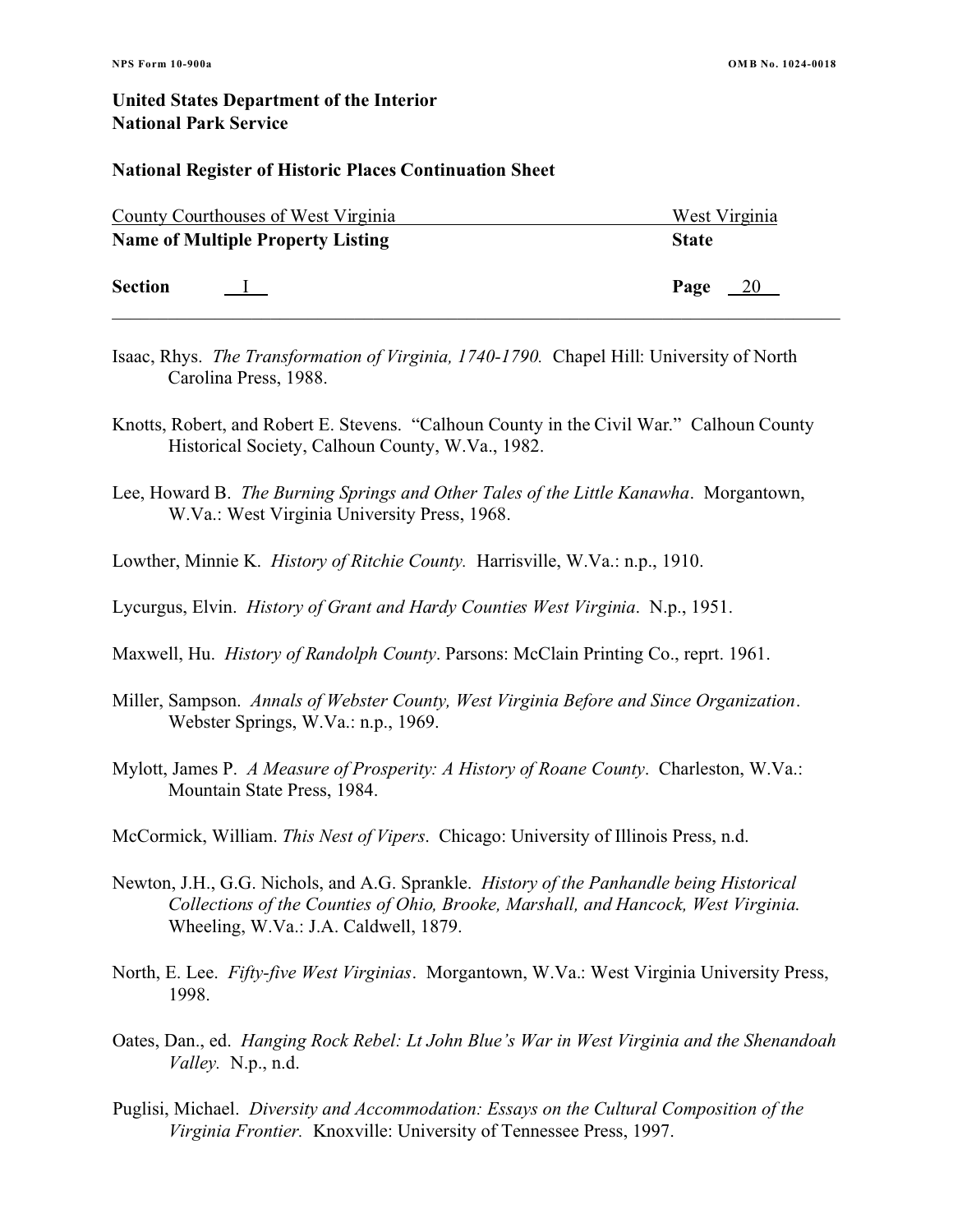#### **National Register of Historic Places Continuation Sheet**

| <b>County Courthouses of West Virginia</b> |              | West Virginia |
|--------------------------------------------|--------------|---------------|
| <b>Name of Multiple Property Listing</b>   |              | <b>State</b>  |
| <b>Section</b>                             | $\mathbf{I}$ | Page<br>$-20$ |

- Isaac, Rhys. *The Transformation of Virginia, 1740-1790.* Chapel Hill: University of North Carolina Press, 1988.
- Knotts, Robert, and Robert E. Stevens. "Calhoun County in the Civil War." Calhoun County Historical Society, Calhoun County, W.Va., 1982.
- Lee, Howard B. *The Burning Springs and Other Tales of the Little Kanawha*. Morgantown, W.Va.: West Virginia University Press, 1968.
- Lowther, Minnie K. *History of Ritchie County.* Harrisville, W.Va.: n.p., 1910.
- Lycurgus, Elvin. *History of Grant and Hardy Counties West Virginia*. N.p., 1951.
- Maxwell, Hu. *History of Randolph County*. Parsons: McClain Printing Co., reprt. 1961.
- Miller, Sampson. *Annals of Webster County, West Virginia Before and Since Organization*. Webster Springs, W.Va.: n.p., 1969.
- Mylott, James P. *A Measure of Prosperity: A History of Roane County*. Charleston, W.Va.: Mountain State Press, 1984.
- McCormick, William. *This Nest of Vipers*. Chicago: University of Illinois Press, n.d.
- Newton, J.H., G.G. Nichols, and A.G. Sprankle. *History of the Panhandle being Historical Collections of the Counties of Ohio, Brooke, Marshall, and Hancock, West Virginia*. Wheeling, W.Va.: J.A. Caldwell, 1879.
- North, E. Lee. *Fifty-five West Virginias*. Morgantown, W.Va.: West Virginia University Press, 1998.
- Oates, Dan., ed. *Hanging Rock Rebel: Lt John Blue's War in West Virginia and the Shenandoah Valley.* N.p., n.d.
- Puglisi, Michael. *Diversity and Accommodation: Essays on the Cultural Composition of the Virginia Frontier.* Knoxville: University of Tennessee Press, 1997.